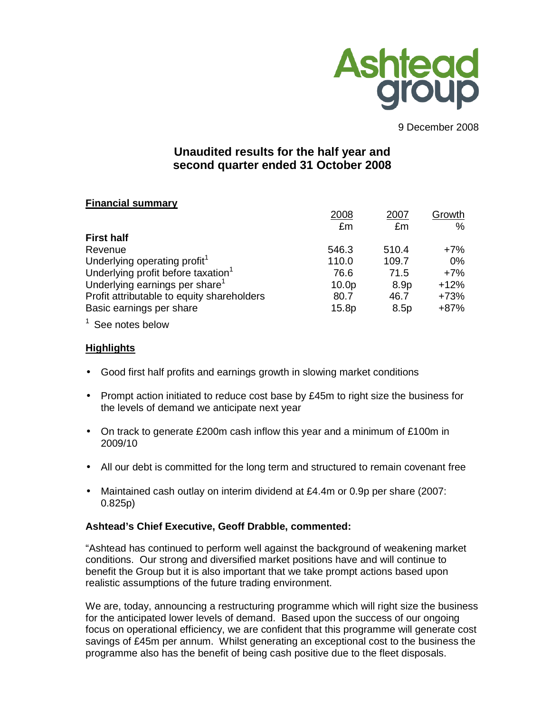

9 December 2008

# **Unaudited results for the half year and second quarter ended 31 October 2008**

# **Financial summary**

|                                                | 2008              | 2007             | Growth |
|------------------------------------------------|-------------------|------------------|--------|
|                                                | £m                | £m               | %      |
| <b>First half</b>                              |                   |                  |        |
| Revenue                                        | 546.3             | 510.4            | $+7%$  |
| Underlying operating profit <sup>1</sup>       | 110.0             | 109.7            | 0%     |
| Underlying profit before taxation <sup>1</sup> | 76.6              | 71.5             | $+7%$  |
| Underlying earnings per share <sup>1</sup>     | 10.0 <sub>p</sub> | 8.9 <sub>p</sub> | $+12%$ |
| Profit attributable to equity shareholders     | 80.7              | 46.7             | $+73%$ |
| Basic earnings per share                       | 15.8p             | 8.5p             | $+87%$ |
|                                                |                   |                  |        |

 $1$  See notes below

# **Highlights**

- Good first half profits and earnings growth in slowing market conditions
- Prompt action initiated to reduce cost base by £45m to right size the business for the levels of demand we anticipate next year
- On track to generate £200m cash inflow this year and a minimum of £100m in 2009/10
- All our debt is committed for the long term and structured to remain covenant free
- Maintained cash outlay on interim dividend at £4.4m or 0.9p per share (2007: 0.825p)

# **Ashtead's Chief Executive, Geoff Drabble, commented:**

"Ashtead has continued to perform well against the background of weakening market conditions. Our strong and diversified market positions have and will continue to benefit the Group but it is also important that we take prompt actions based upon realistic assumptions of the future trading environment.

We are, today, announcing a restructuring programme which will right size the business for the anticipated lower levels of demand. Based upon the success of our ongoing focus on operational efficiency, we are confident that this programme will generate cost savings of £45m per annum. Whilst generating an exceptional cost to the business the programme also has the benefit of being cash positive due to the fleet disposals.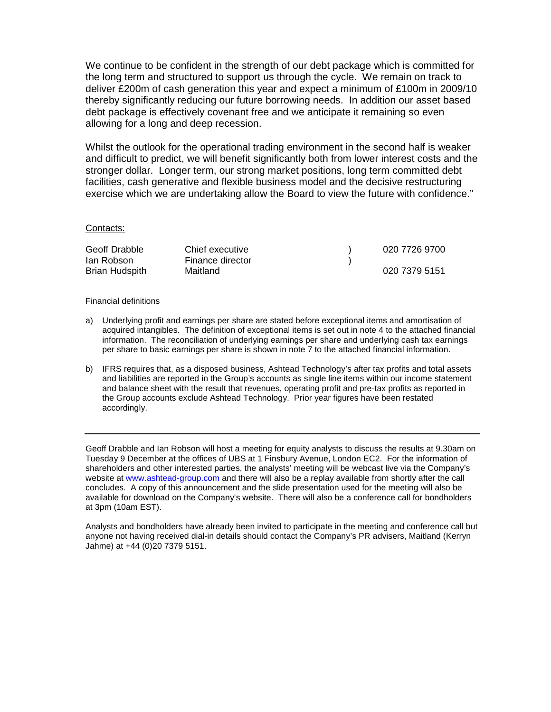We continue to be confident in the strength of our debt package which is committed for the long term and structured to support us through the cycle. We remain on track to deliver £200m of cash generation this year and expect a minimum of £100m in 2009/10 thereby significantly reducing our future borrowing needs. In addition our asset based debt package is effectively covenant free and we anticipate it remaining so even allowing for a long and deep recession.

Whilst the outlook for the operational trading environment in the second half is weaker and difficult to predict, we will benefit significantly both from lower interest costs and the stronger dollar. Longer term, our strong market positions, long term committed debt facilities, cash generative and flexible business model and the decisive restructuring exercise which we are undertaking allow the Board to view the future with confidence."

#### Contacts:

| Geoff Drabble  | Chief executive  | 020 7726 9700 |
|----------------|------------------|---------------|
| lan Robson     | Finance director |               |
| Brian Hudspith | Maitland         | 020 7379 5151 |

#### Financial definitions

- a) Underlying profit and earnings per share are stated before exceptional items and amortisation of acquired intangibles. The definition of exceptional items is set out in note 4 to the attached financial information. The reconciliation of underlying earnings per share and underlying cash tax earnings per share to basic earnings per share is shown in note 7 to the attached financial information.
- b) IFRS requires that, as a disposed business, Ashtead Technology's after tax profits and total assets and liabilities are reported in the Group's accounts as single line items within our income statement and balance sheet with the result that revenues, operating profit and pre-tax profits as reported in the Group accounts exclude Ashtead Technology. Prior year figures have been restated accordingly.

Geoff Drabble and Ian Robson will host a meeting for equity analysts to discuss the results at 9.30am on Tuesday 9 December at the offices of UBS at 1 Finsbury Avenue, London EC2. For the information of shareholders and other interested parties, the analysts' meeting will be webcast live via the Company's website at www.ashtead-group.com and there will also be a replay available from shortly after the call concludes. A copy of this announcement and the slide presentation used for the meeting will also be available for download on the Company's website. There will also be a conference call for bondholders at 3pm (10am EST).

Analysts and bondholders have already been invited to participate in the meeting and conference call but anyone not having received dial-in details should contact the Company's PR advisers, Maitland (Kerryn Jahme) at +44 (0)20 7379 5151.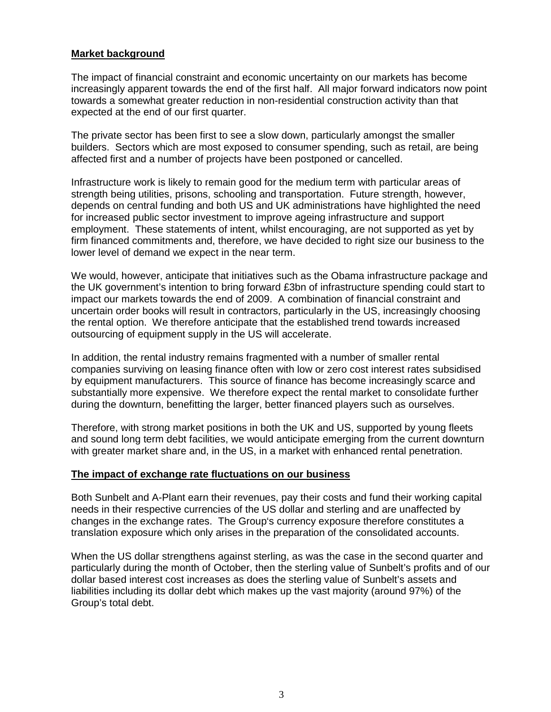## **Market background**

The impact of financial constraint and economic uncertainty on our markets has become increasingly apparent towards the end of the first half. All major forward indicators now point towards a somewhat greater reduction in non-residential construction activity than that expected at the end of our first quarter.

The private sector has been first to see a slow down, particularly amongst the smaller builders. Sectors which are most exposed to consumer spending, such as retail, are being affected first and a number of projects have been postponed or cancelled.

Infrastructure work is likely to remain good for the medium term with particular areas of strength being utilities, prisons, schooling and transportation. Future strength, however, depends on central funding and both US and UK administrations have highlighted the need for increased public sector investment to improve ageing infrastructure and support employment. These statements of intent, whilst encouraging, are not supported as yet by firm financed commitments and, therefore, we have decided to right size our business to the lower level of demand we expect in the near term.

We would, however, anticipate that initiatives such as the Obama infrastructure package and the UK government's intention to bring forward £3bn of infrastructure spending could start to impact our markets towards the end of 2009. A combination of financial constraint and uncertain order books will result in contractors, particularly in the US, increasingly choosing the rental option. We therefore anticipate that the established trend towards increased outsourcing of equipment supply in the US will accelerate.

In addition, the rental industry remains fragmented with a number of smaller rental companies surviving on leasing finance often with low or zero cost interest rates subsidised by equipment manufacturers. This source of finance has become increasingly scarce and substantially more expensive. We therefore expect the rental market to consolidate further during the downturn, benefitting the larger, better financed players such as ourselves.

Therefore, with strong market positions in both the UK and US, supported by young fleets and sound long term debt facilities, we would anticipate emerging from the current downturn with greater market share and, in the US, in a market with enhanced rental penetration.

## **The impact of exchange rate fluctuations on our business**

Both Sunbelt and A-Plant earn their revenues, pay their costs and fund their working capital needs in their respective currencies of the US dollar and sterling and are unaffected by changes in the exchange rates. The Group's currency exposure therefore constitutes a translation exposure which only arises in the preparation of the consolidated accounts.

When the US dollar strengthens against sterling, as was the case in the second quarter and particularly during the month of October, then the sterling value of Sunbelt's profits and of our dollar based interest cost increases as does the sterling value of Sunbelt's assets and liabilities including its dollar debt which makes up the vast majority (around 97%) of the Group's total debt.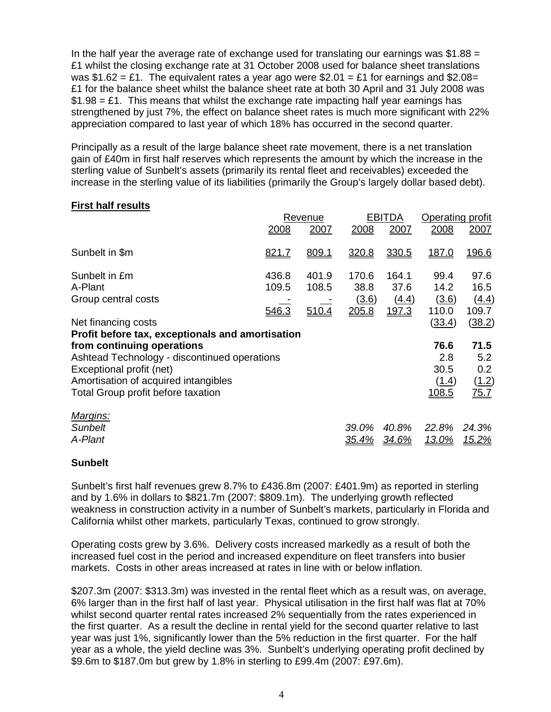In the half year the average rate of exchange used for translating our earnings was  $$1.88 =$ £1 whilst the closing exchange rate at 31 October 2008 used for balance sheet translations was \$1.62 = £1. The equivalent rates a year ago were \$2.01 = £1 for earnings and \$2.08 = £1 for the balance sheet whilst the balance sheet rate at both 30 April and 31 July 2008 was  $$1.98 = £1$ . This means that whilst the exchange rate impacting half year earnings has strengthened by just 7%, the effect on balance sheet rates is much more significant with 22% appreciation compared to last year of which 18% has occurred in the second quarter.

Principally as a result of the large balance sheet rate movement, there is a net translation gain of £40m in first half reserves which represents the amount by which the increase in the sterling value of Sunbelt's assets (primarily its rental fleet and receivables) exceeded the increase in the sterling value of its liabilities (primarily the Group's largely dollar based debt).

## **First half results**

|                                                  |       | Revenue |              | <b>EBITDA</b> | Operating profit |        |
|--------------------------------------------------|-------|---------|--------------|---------------|------------------|--------|
|                                                  | 2008  | 2007    | 2008         | 2007          | 2008             | 2007   |
| Sunbelt in \$m                                   | 821.7 | 809.1   | 320.8        | 330.5         | 187.0            | 196.6  |
| Sunbelt in £m                                    | 436.8 | 401.9   | 170.6        | 164.1         | 99.4             | 97.6   |
| A-Plant                                          | 109.5 | 108.5   | 38.8         | 37.6          | 14.2             | 16.5   |
| Group central costs                              |       |         | <u>(3.6)</u> | (4.4)         | (3.6)            | (4.4)  |
|                                                  | 546.3 | 510.4   | 205.8        | 197.3         | 110.0            | 109.7  |
| Net financing costs                              |       |         |              |               | (33.4)           | (38.2) |
| Profit before tax, exceptionals and amortisation |       |         |              |               |                  |        |
| from continuing operations                       |       |         |              |               | 76.6             | 71.5   |
| Ashtead Technology - discontinued operations     |       |         |              |               | 2.8              | 5.2    |
| Exceptional profit (net)                         |       |         |              |               | 30.5             | 0.2    |
| Amortisation of acquired intangibles             |       |         |              |               | (1.4)            | (1.2)  |
| Total Group profit before taxation               |       |         |              |               | 108.5            | 75.7   |
| Margins:                                         |       |         |              |               |                  |        |
| <b>Sunbelt</b>                                   |       |         | 39.0%        | 40.8%         | 22.8%            | 24.3%  |
| A-Plant                                          |       |         | <u>35.4%</u> | 34.6%         | 13.0%            | 15.2%  |

## **Sunbelt**

Sunbelt's first half revenues grew 8.7% to £436.8m (2007: £401.9m) as reported in sterling and by 1.6% in dollars to \$821.7m (2007: \$809.1m). The underlying growth reflected weakness in construction activity in a number of Sunbelt's markets, particularly in Florida and California whilst other markets, particularly Texas, continued to grow strongly.

Operating costs grew by 3.6%. Delivery costs increased markedly as a result of both the increased fuel cost in the period and increased expenditure on fleet transfers into busier markets. Costs in other areas increased at rates in line with or below inflation.

\$207.3m (2007: \$313.3m) was invested in the rental fleet which as a result was, on average, 6% larger than in the first half of last year. Physical utilisation in the first half was flat at 70% whilst second quarter rental rates increased 2% sequentially from the rates experienced in the first quarter. As a result the decline in rental yield for the second quarter relative to last year was just 1%, significantly lower than the 5% reduction in the first quarter. For the half year as a whole, the yield decline was 3%. Sunbelt's underlying operating profit declined by \$9.6m to \$187.0m but grew by 1.8% in sterling to £99.4m (2007: £97.6m).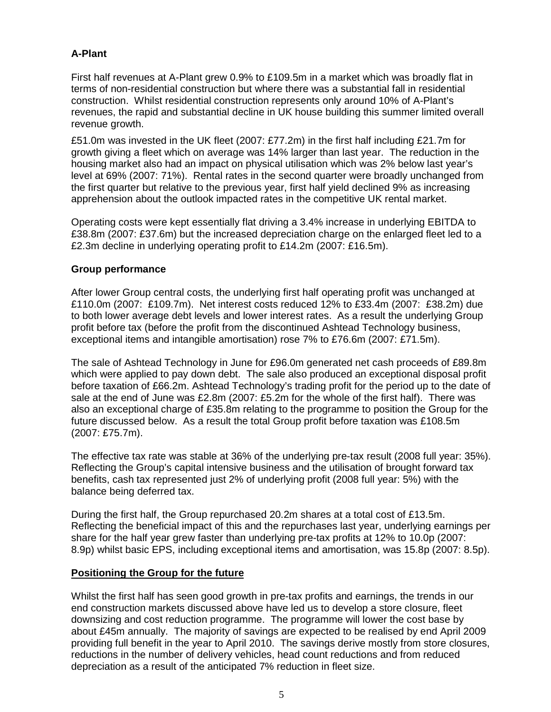# **A-Plant**

First half revenues at A-Plant grew 0.9% to £109.5m in a market which was broadly flat in terms of non-residential construction but where there was a substantial fall in residential construction. Whilst residential construction represents only around 10% of A-Plant's revenues, the rapid and substantial decline in UK house building this summer limited overall revenue growth.

£51.0m was invested in the UK fleet (2007: £77.2m) in the first half including £21.7m for growth giving a fleet which on average was 14% larger than last year. The reduction in the housing market also had an impact on physical utilisation which was 2% below last year's level at 69% (2007: 71%). Rental rates in the second quarter were broadly unchanged from the first quarter but relative to the previous year, first half yield declined 9% as increasing apprehension about the outlook impacted rates in the competitive UK rental market.

Operating costs were kept essentially flat driving a 3.4% increase in underlying EBITDA to £38.8m (2007: £37.6m) but the increased depreciation charge on the enlarged fleet led to a £2.3m decline in underlying operating profit to £14.2m (2007: £16.5m).

# **Group performance**

After lower Group central costs, the underlying first half operating profit was unchanged at £110.0m (2007: £109.7m). Net interest costs reduced 12% to £33.4m (2007: £38.2m) due to both lower average debt levels and lower interest rates. As a result the underlying Group profit before tax (before the profit from the discontinued Ashtead Technology business, exceptional items and intangible amortisation) rose 7% to £76.6m (2007: £71.5m).

The sale of Ashtead Technology in June for £96.0m generated net cash proceeds of £89.8m which were applied to pay down debt. The sale also produced an exceptional disposal profit before taxation of £66.2m. Ashtead Technology's trading profit for the period up to the date of sale at the end of June was £2.8m (2007: £5.2m for the whole of the first half). There was also an exceptional charge of £35.8m relating to the programme to position the Group for the future discussed below. As a result the total Group profit before taxation was £108.5m (2007: £75.7m).

The effective tax rate was stable at 36% of the underlying pre-tax result (2008 full year: 35%). Reflecting the Group's capital intensive business and the utilisation of brought forward tax benefits, cash tax represented just 2% of underlying profit (2008 full year: 5%) with the balance being deferred tax.

During the first half, the Group repurchased 20.2m shares at a total cost of £13.5m. Reflecting the beneficial impact of this and the repurchases last year, underlying earnings per share for the half year grew faster than underlying pre-tax profits at 12% to 10.0p (2007: 8.9p) whilst basic EPS, including exceptional items and amortisation, was 15.8p (2007: 8.5p).

## **Positioning the Group for the future**

Whilst the first half has seen good growth in pre-tax profits and earnings, the trends in our end construction markets discussed above have led us to develop a store closure, fleet downsizing and cost reduction programme. The programme will lower the cost base by about £45m annually. The majority of savings are expected to be realised by end April 2009 providing full benefit in the year to April 2010. The savings derive mostly from store closures, reductions in the number of delivery vehicles, head count reductions and from reduced depreciation as a result of the anticipated 7% reduction in fleet size.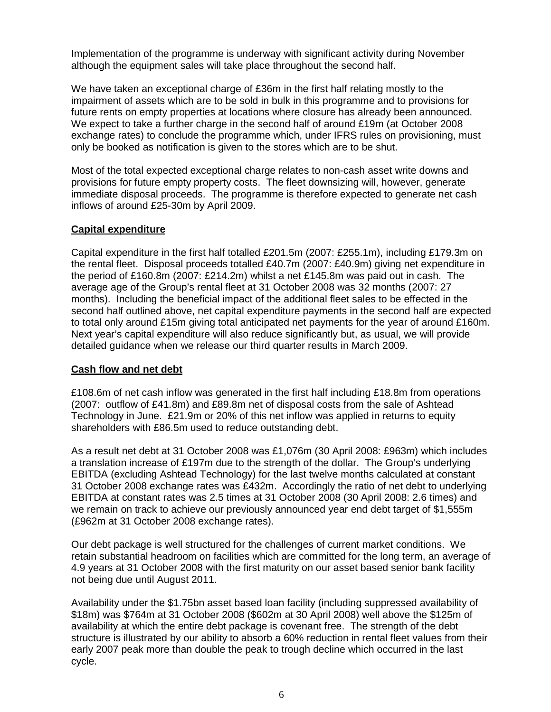Implementation of the programme is underway with significant activity during November although the equipment sales will take place throughout the second half.

We have taken an exceptional charge of £36m in the first half relating mostly to the impairment of assets which are to be sold in bulk in this programme and to provisions for future rents on empty properties at locations where closure has already been announced. We expect to take a further charge in the second half of around £19m (at October 2008 exchange rates) to conclude the programme which, under IFRS rules on provisioning, must only be booked as notification is given to the stores which are to be shut.

Most of the total expected exceptional charge relates to non-cash asset write downs and provisions for future empty property costs. The fleet downsizing will, however, generate immediate disposal proceeds. The programme is therefore expected to generate net cash inflows of around £25-30m by April 2009.

# **Capital expenditure**

Capital expenditure in the first half totalled £201.5m (2007: £255.1m), including £179.3m on the rental fleet. Disposal proceeds totalled £40.7m (2007: £40.9m) giving net expenditure in the period of £160.8m (2007: £214.2m) whilst a net £145.8m was paid out in cash. The average age of the Group's rental fleet at 31 October 2008 was 32 months (2007: 27 months). Including the beneficial impact of the additional fleet sales to be effected in the second half outlined above, net capital expenditure payments in the second half are expected to total only around £15m giving total anticipated net payments for the year of around £160m. Next year's capital expenditure will also reduce significantly but, as usual, we will provide detailed guidance when we release our third quarter results in March 2009.

## **Cash flow and net debt**

£108.6m of net cash inflow was generated in the first half including £18.8m from operations (2007: outflow of £41.8m) and £89.8m net of disposal costs from the sale of Ashtead Technology in June. £21.9m or 20% of this net inflow was applied in returns to equity shareholders with £86.5m used to reduce outstanding debt.

As a result net debt at 31 October 2008 was £1,076m (30 April 2008: £963m) which includes a translation increase of £197m due to the strength of the dollar. The Group's underlying EBITDA (excluding Ashtead Technology) for the last twelve months calculated at constant 31 October 2008 exchange rates was £432m. Accordingly the ratio of net debt to underlying EBITDA at constant rates was 2.5 times at 31 October 2008 (30 April 2008: 2.6 times) and we remain on track to achieve our previously announced year end debt target of \$1,555m (£962m at 31 October 2008 exchange rates).

Our debt package is well structured for the challenges of current market conditions. We retain substantial headroom on facilities which are committed for the long term, an average of 4.9 years at 31 October 2008 with the first maturity on our asset based senior bank facility not being due until August 2011.

Availability under the \$1.75bn asset based loan facility (including suppressed availability of \$18m) was \$764m at 31 October 2008 (\$602m at 30 April 2008) well above the \$125m of availability at which the entire debt package is covenant free. The strength of the debt structure is illustrated by our ability to absorb a 60% reduction in rental fleet values from their early 2007 peak more than double the peak to trough decline which occurred in the last cycle.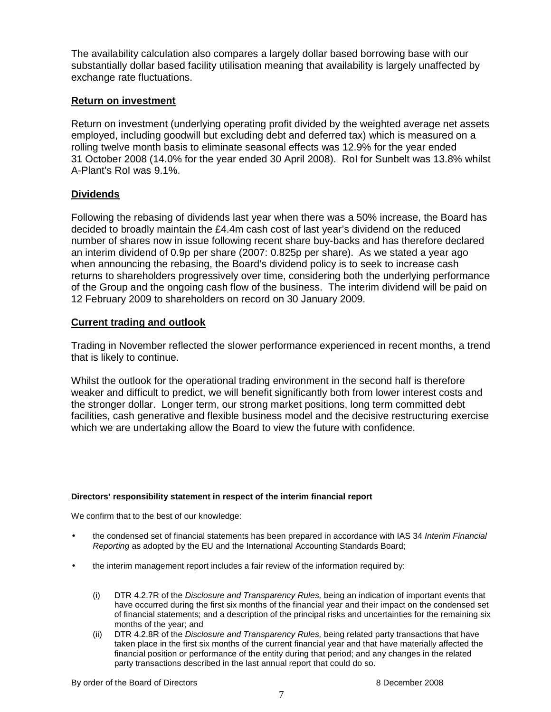The availability calculation also compares a largely dollar based borrowing base with our substantially dollar based facility utilisation meaning that availability is largely unaffected by exchange rate fluctuations.

## **Return on investment**

Return on investment (underlying operating profit divided by the weighted average net assets employed, including goodwill but excluding debt and deferred tax) which is measured on a rolling twelve month basis to eliminate seasonal effects was 12.9% for the year ended 31 October 2008 (14.0% for the year ended 30 April 2008). RoI for Sunbelt was 13.8% whilst A-Plant's RoI was 9.1%.

# **Dividends**

Following the rebasing of dividends last year when there was a 50% increase, the Board has decided to broadly maintain the £4.4m cash cost of last year's dividend on the reduced number of shares now in issue following recent share buy-backs and has therefore declared an interim dividend of 0.9p per share (2007: 0.825p per share). As we stated a year ago when announcing the rebasing, the Board's dividend policy is to seek to increase cash returns to shareholders progressively over time, considering both the underlying performance of the Group and the ongoing cash flow of the business. The interim dividend will be paid on 12 February 2009 to shareholders on record on 30 January 2009.

# **Current trading and outlook**

Trading in November reflected the slower performance experienced in recent months, a trend that is likely to continue.

Whilst the outlook for the operational trading environment in the second half is therefore weaker and difficult to predict, we will benefit significantly both from lower interest costs and the stronger dollar. Longer term, our strong market positions, long term committed debt facilities, cash generative and flexible business model and the decisive restructuring exercise which we are undertaking allow the Board to view the future with confidence.

## **Directors' responsibility statement in respect of the interim financial report**

We confirm that to the best of our knowledge:

- the condensed set of financial statements has been prepared in accordance with IAS 34 Interim Financial Reporting as adopted by the EU and the International Accounting Standards Board;
- the interim management report includes a fair review of the information required by:
	- (i) DTR 4.2.7R of the Disclosure and Transparency Rules, being an indication of important events that have occurred during the first six months of the financial year and their impact on the condensed set of financial statements; and a description of the principal risks and uncertainties for the remaining six months of the year; and
	- (ii) DTR 4.2.8R of the *Disclosure and Transparency Rules*, being related party transactions that have taken place in the first six months of the current financial year and that have materially affected the financial position or performance of the entity during that period; and any changes in the related party transactions described in the last annual report that could do so.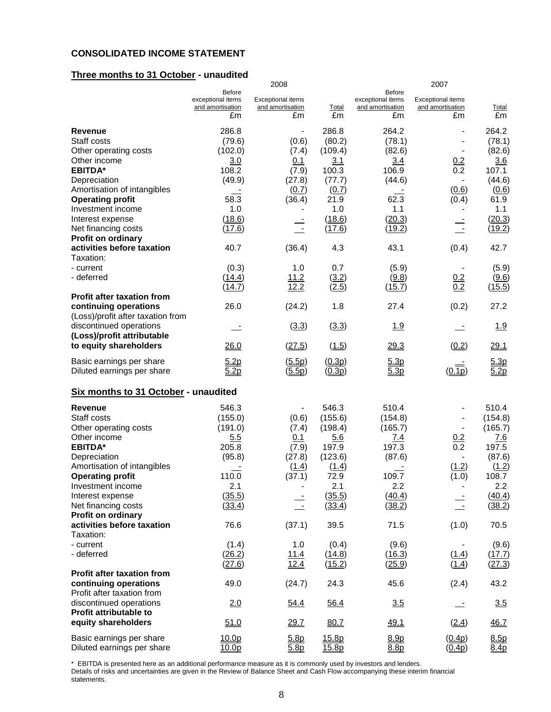#### **CONSOLIDATED INCOME STATEMENT**

## **Three months to 31 October - unaudited**

|                                                            |                                                       | 2008                                               |                    |                                                              | 2007                                               |                    |
|------------------------------------------------------------|-------------------------------------------------------|----------------------------------------------------|--------------------|--------------------------------------------------------------|----------------------------------------------------|--------------------|
|                                                            | Before<br>exceptional items<br>and amortisation<br>£m | <b>Exceptional items</b><br>and amortisation<br>£m | <b>Total</b><br>£m | <b>Before</b><br>exceptional items<br>and amortisation<br>£m | <b>Exceptional items</b><br>and amortisation<br>£m | <b>Total</b><br>£m |
| Revenue<br>Staff costs                                     | 286.8<br>(79.6)                                       | $\overline{\phantom{0}}$<br>(0.6)                  | 286.8<br>(80.2)    | 264.2<br>(78.1)                                              |                                                    | 264.2<br>(78.1)    |
| Other operating costs                                      | (102.0)                                               | (7.4)                                              | (109.4)            | (82.6)                                                       |                                                    | (82.6)             |
| Other income                                               | 3.0                                                   | 0.1                                                | 3.1                | 3.4                                                          | 0.2                                                | 3.6                |
| <b>EBITDA*</b>                                             | 108.2                                                 | (7.9)                                              | 100.3              | 106.9                                                        | 0.2                                                | 107.1              |
| Depreciation                                               | (49.9)                                                | (27.8)                                             | (77.7)             | (44.6)                                                       | $\blacksquare$                                     | (44.6)             |
| Amortisation of intangibles                                |                                                       | (0.7)                                              | (0.7)              |                                                              | (0.6)                                              | (0.6)              |
| <b>Operating profit</b>                                    | 58.3                                                  | (36.4)                                             | 21.9               | 62.3                                                         | (0.4)                                              | 61.9               |
| Investment income                                          | 1.0                                                   |                                                    | 1.0                | 1.1                                                          |                                                    | 1.1                |
| Interest expense<br>Net financing costs                    | (18.6)<br>(17.6)                                      | $\overline{\phantom{a}}$                           | (18.6)<br>(17.6)   | (20.3)                                                       | $\blacksquare$                                     | (20.3)             |
| Profit on ordinary                                         |                                                       | $\overline{\phantom{a}}$                           |                    | (19.2)                                                       |                                                    | (19.2)             |
| activities before taxation<br>Taxation:                    | 40.7                                                  | (36.4)                                             | 4.3                | 43.1                                                         | (0.4)                                              | 42.7               |
| - current                                                  | (0.3)                                                 | 1.0                                                | 0.7                | (5.9)                                                        | $\overline{\phantom{a}}$                           | (5.9)              |
| - deferred                                                 | (14.4)                                                | 11.2                                               | (3.2)              | (9.8)                                                        | $\frac{0.2}{0.2}$                                  | (9.6)              |
|                                                            | (14.7)                                                | 12.2                                               | (2.5)              | (15.7)                                                       |                                                    | (15.5)             |
| <b>Profit after taxation from</b>                          |                                                       |                                                    |                    |                                                              |                                                    |                    |
| continuing operations<br>(Loss)/profit after taxation from | 26.0                                                  | (24.2)                                             | 1.8                | 27.4                                                         | (0.2)                                              | 27.2               |
| discontinued operations<br>(Loss)/profit attributable      |                                                       | (3.3)                                              | (3.3)              | 1.9                                                          |                                                    | 1.9                |
| to equity shareholders                                     | 26.0                                                  | (27.5)                                             | (1.5)              | 29.3                                                         | (0.2)                                              | 29.1               |
| Basic earnings per share                                   | 5.2p                                                  | (5.5p)                                             | (0.3p)             | 5.3p                                                         |                                                    | 5.3p               |
| Diluted earnings per share                                 | 5.2p                                                  | (5.5p)                                             | (0.3p)             | 5.3p                                                         | (0.1p)                                             | 5.2p               |
| Six months to 31 October - unaudited                       |                                                       |                                                    |                    |                                                              |                                                    |                    |
| Revenue                                                    | 546.3                                                 | $\overline{\phantom{a}}$                           | 546.3              | 510.4                                                        |                                                    | 510.4              |
| Staff costs                                                | (155.0)                                               | (0.6)                                              | (155.6)            | (154.8)                                                      |                                                    | (154.8)            |
| Other operating costs                                      | (191.0)                                               | (7.4)                                              | (198.4)            | (165.7)                                                      |                                                    | (165.7)            |
| Other income                                               | 5.5                                                   | 0.1                                                | 5.6                | <u>7.4</u>                                                   | 0.2                                                | <u>7.6</u>         |
| <b>EBITDA*</b>                                             | 205.8                                                 | (7.9)                                              | 197.9              | 197.3                                                        | 0.2                                                | 197.5              |
| Depreciation                                               | (95.8)                                                | (27.8)                                             | (123.6)            | (87.6)                                                       | $\blacksquare$                                     | (87.6)             |
| Amortisation of intangibles<br><b>Operating profit</b>     | 110.0                                                 | (1.4)<br>(37.1)                                    | (1.4)<br>72.9      | 109.7                                                        | (1.2)<br>(1.0)                                     | (1.2)<br>108.7     |
| Investment income                                          | 2.1                                                   |                                                    | 2.1                | 2.2                                                          |                                                    | 2.2                |
| Interest expense                                           | (35.5)                                                |                                                    | (35.5)             | (40.4)                                                       |                                                    | (40.4)             |
| Net financing costs                                        | (33.4)                                                | $\equiv$                                           | (33.4)             | (38.2)                                                       | $\frac{1}{2}$                                      | (38.2)             |
| <b>Profit on ordinary</b>                                  |                                                       |                                                    |                    |                                                              |                                                    |                    |
| activities before taxation                                 | 76.6                                                  | (37.1)                                             | 39.5               | 71.5                                                         | (1.0)                                              | 70.5               |
| Taxation:                                                  |                                                       |                                                    |                    |                                                              |                                                    |                    |
| - current                                                  | (1.4)                                                 | 1.0                                                | (0.4)              | (9.6)                                                        |                                                    | (9.6)              |
| - deferred                                                 | (26.2)<br>(27.6)                                      | 11.4<br>12.4                                       | (14.8)<br>(15.2)   | (16.3)<br>(25.9)                                             | (1.4)<br>(1.4)                                     | (17.7)<br>(27.3)   |
| <b>Profit after taxation from</b>                          |                                                       |                                                    |                    |                                                              |                                                    |                    |
| continuing operations<br>Profit after taxation from        | 49.0                                                  | (24.7)                                             | 24.3               | 45.6                                                         | (2.4)                                              | 43.2               |
| discontinued operations                                    | 2.0                                                   | 54.4                                               | 56.4               | 3.5                                                          |                                                    | 3.5                |
| <b>Profit attributable to</b><br>equity shareholders       | 51.0                                                  | 29.7                                               | 80.7               | 49.1                                                         | (2.4)                                              | 46.7               |
| Basic earnings per share<br>Diluted earnings per share     | 10.0 <sub>p</sub><br>10.0p                            | 5.8p<br>5.8p                                       | 15.8p<br>15.8p     | 8.9p<br>8.8p                                                 | (0.4p)<br>(0.4p)                                   | 8.5p<br>8.4p       |
|                                                            |                                                       |                                                    |                    |                                                              |                                                    |                    |

\* EBITDA is presented here as an additional performance measure as it is commonly used by investors and lenders.

Details of risks and uncertainties are given in the Review of Balance Sheet and Cash Flow accompanying these interim financial statements.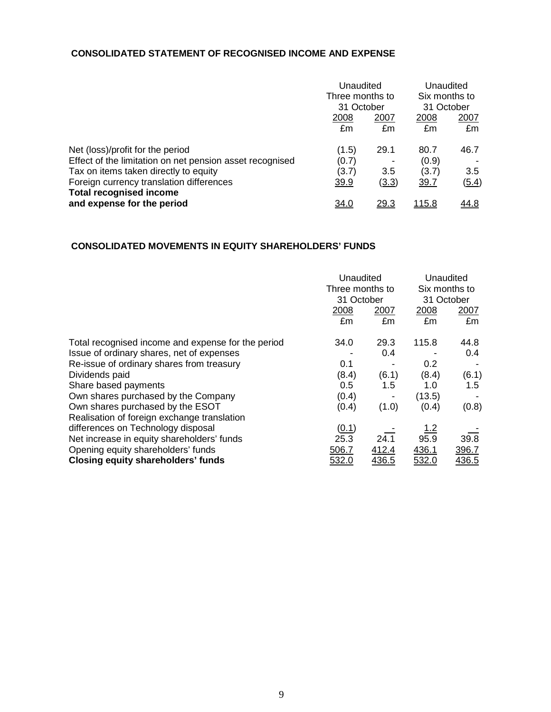## **CONSOLIDATED STATEMENT OF RECOGNISED INCOME AND EXPENSE**

|                                                                                              |                      | Unaudited<br>Three months to<br>31 October |                      | Unaudited<br>Six months to<br>31 October |  |
|----------------------------------------------------------------------------------------------|----------------------|--------------------------------------------|----------------------|------------------------------------------|--|
|                                                                                              | 2008<br>£m           | 2007<br>£m                                 | 2008<br>£m           | 2007<br>£m                               |  |
| Net (loss)/profit for the period<br>Effect of the limitation on net pension asset recognised | (1.5)<br>(0.7)       | 29.1                                       | 80.7<br>(0.9)        | 46.7                                     |  |
| Tax on items taken directly to equity<br>Foreign currency translation differences            | (3.7)<br><u>39.9</u> | 3.5<br><u>(3.3)</u>                        | (3.7)<br><u>39.7</u> | 3.5<br>(5.4)                             |  |
| <b>Total recognised income</b><br>and expense for the period                                 | <u>34.0</u>          | 29.3                                       | <u> 115.8</u>        | <u>44.8</u>                              |  |

## **CONSOLIDATED MOVEMENTS IN EQUITY SHAREHOLDERS' FUNDS**

|                                                    |       | Unaudited<br>Three months to<br>31 October |            | Unaudited<br>Six months to<br>31 October |
|----------------------------------------------------|-------|--------------------------------------------|------------|------------------------------------------|
|                                                    | 2008  | 2007                                       | 2008       | 2007                                     |
|                                                    | £m    | £m                                         | £m         | £m                                       |
| Total recognised income and expense for the period | 34.0  | 29.3                                       | 115.8      | 44.8                                     |
| Issue of ordinary shares, net of expenses          |       | 0.4                                        |            | 0.4                                      |
| Re-issue of ordinary shares from treasury          | 0.1   |                                            | 0.2        |                                          |
| Dividends paid                                     | (8.4) | (6.1)                                      | (8.4)      | (6.1)                                    |
| Share based payments                               | 0.5   | 1.5                                        | 1.0        | 1.5                                      |
| Own shares purchased by the Company                | (0.4) |                                            | (13.5)     |                                          |
| Own shares purchased by the ESOT                   | (0.4) | (1.0)                                      | (0.4)      | (0.8)                                    |
| Realisation of foreign exchange translation        |       |                                            |            |                                          |
| differences on Technology disposal                 | (0.1) |                                            | <u>1.2</u> |                                          |
| Net increase in equity shareholders' funds         | 25.3  | 24.1                                       | 95.9       | 39.8                                     |
| Opening equity shareholders' funds                 | 506.7 | 412.4                                      | 436.1      | 396.7                                    |
| <b>Closing equity shareholders' funds</b>          | 532.0 | 436.5                                      | 532.0      | 436.5                                    |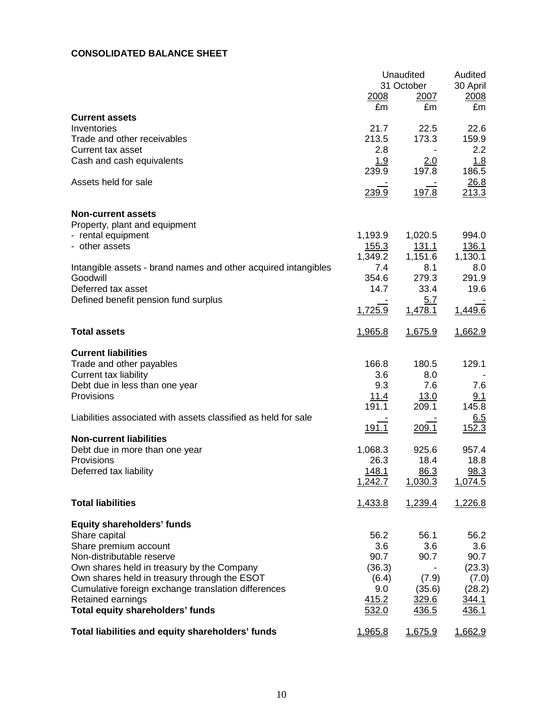## **CONSOLIDATED BALANCE SHEET**

|                                                                | 2008<br>£m           | Unaudited<br>31 October<br>2007<br>£m | Audited<br>30 April<br>2008<br>£m |
|----------------------------------------------------------------|----------------------|---------------------------------------|-----------------------------------|
| <b>Current assets</b><br>Inventories                           | 21.7                 | 22.5                                  | 22.6                              |
| Trade and other receivables                                    | 213.5                | 173.3                                 | 159.9                             |
| <b>Current tax asset</b>                                       | 2.8                  |                                       | 2.2                               |
| Cash and cash equivalents                                      | 1.9                  | 2.0                                   | 1.8                               |
| Assets held for sale                                           | 239.9                | 197.8                                 | 186.5<br>26.8                     |
|                                                                | 239.9                | 197.8                                 | 213.3                             |
| <b>Non-current assets</b>                                      |                      |                                       |                                   |
| Property, plant and equipment<br>- rental equipment            | 1,193.9              | 1,020.5                               | 994.0                             |
| - other assets                                                 | <u>155.3</u>         | <u>131.1</u>                          | 136.1                             |
|                                                                | 1,349.2              | 1,151.6                               | 1,130.1                           |
| Intangible assets - brand names and other acquired intangibles | 7.4                  | 8.1                                   | 8.0                               |
| Goodwill                                                       | 354.6                | 279.3                                 | 291.9                             |
| Deferred tax asset<br>Defined benefit pension fund surplus     | 14.7                 | 33.4<br>5.7                           | 19.6                              |
|                                                                | 1,725.9              | 1,478.1                               | 1,449.6                           |
| <b>Total assets</b>                                            | 1,965.8              | 1,675.9                               | 1,662.9                           |
| <b>Current liabilities</b>                                     |                      |                                       |                                   |
| Trade and other payables                                       | 166.8                | 180.5                                 | 129.1                             |
| Current tax liability                                          | 3.6                  | 8.0                                   |                                   |
| Debt due in less than one year                                 | 9.3                  | 7.6                                   | 7.6                               |
| Provisions                                                     | <u>11.4</u><br>191.1 | <u>13.0</u><br>209.1                  | 9.1<br>145.8                      |
| Liabilities associated with assets classified as held for sale |                      |                                       | 6.5                               |
|                                                                | 191.1                | 209.1                                 | 152.3                             |
| <b>Non-current liabilities</b>                                 |                      |                                       |                                   |
| Debt due in more than one year                                 | 1,068.3              | 925.6                                 | 957.4                             |
| Provisions<br>Deferred tax liability                           | 26.3<br>148.1        | 18.4<br>86.3                          | 18.8<br>98.3                      |
|                                                                | 1,242.7              | 1,030.3                               | 1,074.5                           |
| <b>Total liabilities</b>                                       | <u>1,433.8</u>       | 1,239.4                               | 1,226.8                           |
|                                                                |                      |                                       |                                   |
| <b>Equity shareholders' funds</b>                              |                      |                                       |                                   |
| Share capital                                                  | 56.2                 | 56.1                                  | 56.2                              |
| Share premium account<br>Non-distributable reserve             | 3.6<br>90.7          | 3.6<br>90.7                           | 3.6<br>90.7                       |
| Own shares held in treasury by the Company                     | (36.3)               |                                       | (23.3)                            |
| Own shares held in treasury through the ESOT                   | (6.4)                | (7.9)                                 | (7.0)                             |
| Cumulative foreign exchange translation differences            | 9.0                  | (35.6)                                | (28.2)                            |
| Retained earnings<br><b>Total equity shareholders' funds</b>   | 415.2                | 329.6                                 | <u>344.1</u>                      |
|                                                                | 532.0                | 436.5                                 | 436.1                             |
| Total liabilities and equity shareholders' funds               | 1,965.8              | 1,675.9                               | 1,662.9                           |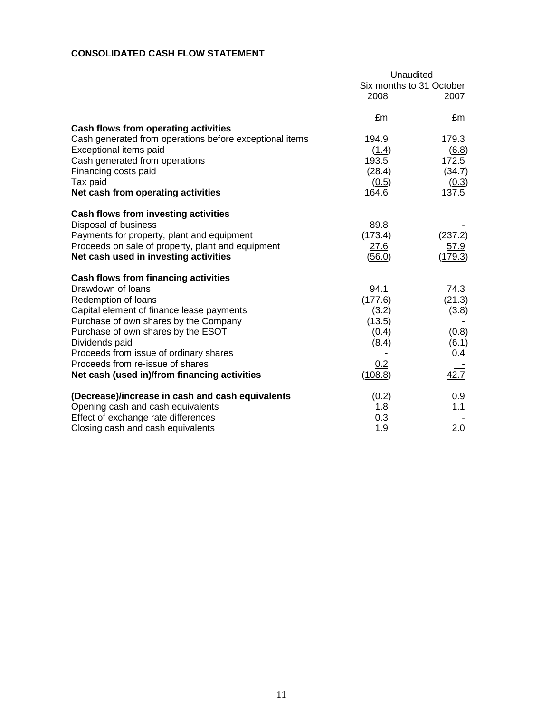## **CONSOLIDATED CASH FLOW STATEMENT**

|                                                         | Unaudited                |             |  |
|---------------------------------------------------------|--------------------------|-------------|--|
|                                                         | Six months to 31 October |             |  |
|                                                         | 2008                     | 2007        |  |
|                                                         | £m                       | £m          |  |
| Cash flows from operating activities                    |                          |             |  |
| Cash generated from operations before exceptional items | 194.9                    | 179.3       |  |
| Exceptional items paid                                  | (1.4)                    | (6.8)       |  |
| Cash generated from operations                          | 193.5                    | 172.5       |  |
| Financing costs paid                                    | (28.4)                   | (34.7)      |  |
| Tax paid                                                | (0.5)                    | (0.3)       |  |
| Net cash from operating activities                      | 164.6                    | 137.5       |  |
| <b>Cash flows from investing activities</b>             |                          |             |  |
| Disposal of business                                    | 89.8                     |             |  |
| Payments for property, plant and equipment              | (173.4)                  | (237.2)     |  |
| Proceeds on sale of property, plant and equipment       | <u>27.6</u>              | <u>57.9</u> |  |
| Net cash used in investing activities                   | (56.0)                   | (179.3)     |  |
| Cash flows from financing activities                    |                          |             |  |
| Drawdown of loans                                       | 94.1                     | 74.3        |  |
| Redemption of loans                                     | (177.6)                  | (21.3)      |  |
| Capital element of finance lease payments               | (3.2)                    | (3.8)       |  |
| Purchase of own shares by the Company                   | (13.5)                   |             |  |
| Purchase of own shares by the ESOT                      | (0.4)                    | (0.8)       |  |
| Dividends paid                                          | (8.4)                    | (6.1)       |  |
| Proceeds from issue of ordinary shares                  |                          | 0.4         |  |
| Proceeds from re-issue of shares                        | 0.2                      |             |  |
| Net cash (used in)/from financing activities            | (108.8)                  | 42.7        |  |
| (Decrease)/increase in cash and cash equivalents        | (0.2)                    | 0.9         |  |
| Opening cash and cash equivalents                       | 1.8                      | 1.1         |  |
| Effect of exchange rate differences                     | 0.3                      |             |  |
| Closing cash and cash equivalents                       | 1.9                      | 2.0         |  |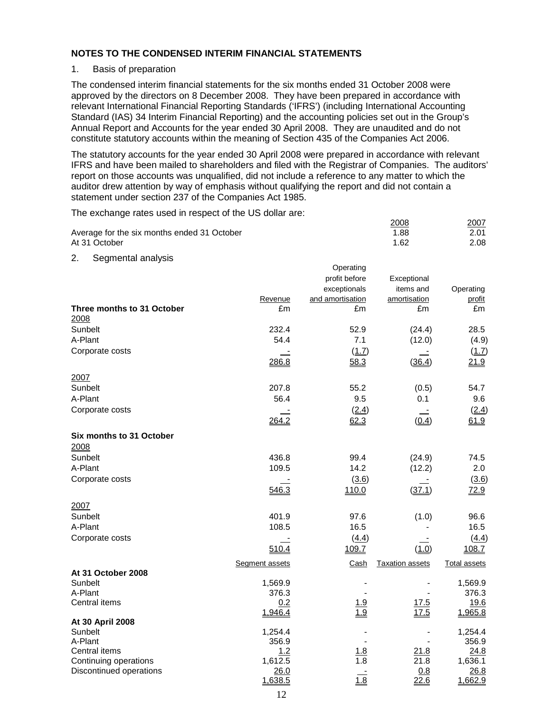#### 1. Basis of preparation

The condensed interim financial statements for the six months ended 31 October 2008 were approved by the directors on 8 December 2008. They have been prepared in accordance with relevant International Financial Reporting Standards ('IFRS') (including International Accounting Standard (IAS) 34 Interim Financial Reporting) and the accounting policies set out in the Group's Annual Report and Accounts for the year ended 30 April 2008. They are unaudited and do not constitute statutory accounts within the meaning of Section 435 of the Companies Act 2006.

The statutory accounts for the year ended 30 April 2008 were prepared in accordance with relevant IFRS and have been mailed to shareholders and filed with the Registrar of Companies. The auditors' report on those accounts was unqualified, did not include a reference to any matter to which the auditor drew attention by way of emphasis without qualifying the report and did not contain a statement under section 237 of the Companies Act 1985.

The exchange rates used in respect of the US dollar are:

|                                             | 2008 | 2007 |
|---------------------------------------------|------|------|
| Average for the six months ended 31 October | 1.88 | 2.01 |
| At 31 October                               | 1.62 | 2.08 |

2. Segmental analysis

|                                    |                | Operating         |                        |                     |
|------------------------------------|----------------|-------------------|------------------------|---------------------|
|                                    |                | profit before     | Exceptional            |                     |
|                                    |                | exceptionals      | items and              | Operating           |
|                                    | Revenue        | and amortisation  | amortisation           | profit              |
| Three months to 31 October<br>2008 | £m             | £m                | £m                     | £m                  |
| Sunbelt                            | 232.4          | 52.9              | (24.4)                 | 28.5                |
| A-Plant                            | 54.4           | 7.1               | (12.0)                 | (4.9)               |
| Corporate costs                    |                | (1.7)             |                        | (1.7)               |
|                                    | 286.8          | 58.3              | (36.4)                 | 21.9                |
| 2007                               |                |                   |                        |                     |
| Sunbelt                            | 207.8          | 55.2              | (0.5)                  | 54.7                |
| A-Plant                            | 56.4           | 9.5               | 0.1                    | 9.6                 |
| Corporate costs                    |                | (2.4)             |                        | (2.4)               |
|                                    | 264.2          | 62.3              | (0.4)                  | 61.9                |
| Six months to 31 October           |                |                   |                        |                     |
| 2008                               |                |                   |                        |                     |
| Sunbelt                            | 436.8          | 99.4              | (24.9)                 | 74.5                |
| A-Plant                            | 109.5          | 14.2              | (12.2)                 | 2.0                 |
| Corporate costs                    |                | (3.6)             |                        | (3.6)               |
|                                    | 546.3          | 110.0             | (37.1)                 | 72.9                |
| 2007                               |                |                   |                        |                     |
| Sunbelt                            | 401.9          | 97.6              | (1.0)                  | 96.6                |
| A-Plant                            | 108.5          | 16.5              |                        | 16.5                |
| Corporate costs                    |                | (4.4)             |                        | (4.4)               |
|                                    | 510.4          | 109.7             | (1.0)                  | 108.7               |
|                                    | Segment assets | Cash              | <b>Taxation assets</b> | <b>Total assets</b> |
| At 31 October 2008                 |                |                   |                        |                     |
| Sunbelt                            | 1,569.9        |                   |                        | 1,569.9             |
| A-Plant                            | 376.3          |                   |                        | 376.3               |
| Central items                      | 0.2<br>1,946.4 | 1.9<br>1.9        | 17.5<br>17.5           | 19.6<br>1,965.8     |
| At 30 April 2008                   |                |                   |                        |                     |
| Sunbelt                            | 1,254.4        |                   |                        | 1,254.4             |
| A-Plant                            | 356.9          |                   |                        | 356.9               |
| Central items                      | 1.2            | 1.8               | 21.8                   | 24.8                |
| Continuing operations              | 1,612.5        | $\overline{1.8}$  | 21.8                   | 1,636.1             |
| Discontinued operations            | 26.0           |                   | 0.8                    | 26.8                |
|                                    | 1,638.5        | $\frac{1.8}{1.8}$ | 22.6                   | 1,662.9             |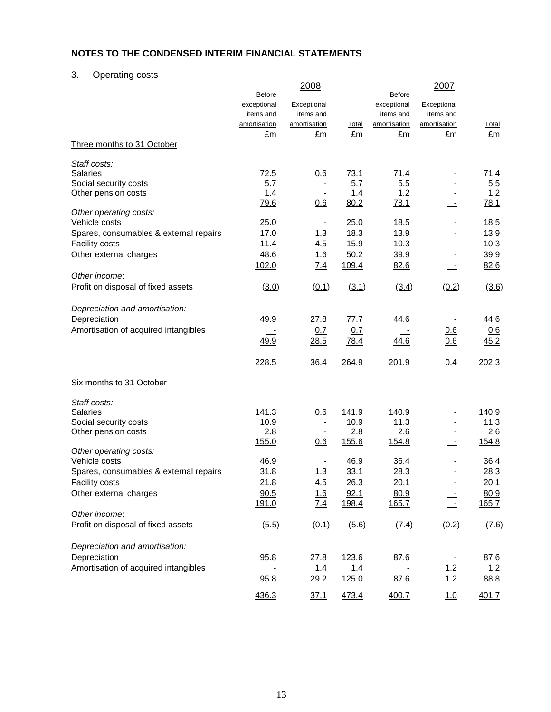# 3. Operating costs

|                                        | <b>Before</b>                            | 2008                                     |             | <b>Before</b>                            | 2007                                     |              |
|----------------------------------------|------------------------------------------|------------------------------------------|-------------|------------------------------------------|------------------------------------------|--------------|
|                                        | exceptional<br>items and<br>amortisation | Exceptional<br>items and<br>amortisation | Total       | exceptional<br>items and<br>amortisation | Exceptional<br>items and<br>amortisation | <u>Total</u> |
|                                        | £m                                       | £m                                       | £m          | £m                                       | £m                                       | £m           |
| Three months to 31 October             |                                          |                                          |             |                                          |                                          |              |
| Staff costs:                           |                                          |                                          |             |                                          |                                          |              |
| <b>Salaries</b>                        | 72.5                                     | 0.6                                      | 73.1        | 71.4                                     |                                          | 71.4         |
| Social security costs                  | 5.7                                      |                                          | 5.7         | 5.5                                      |                                          | 5.5          |
| Other pension costs                    | 1.4                                      |                                          | 1.4         | 1.2                                      |                                          | 1.2          |
|                                        | <u>79.6</u>                              | 0.6                                      | 80.2        | 78.1                                     |                                          | 78.1         |
| Other operating costs:                 |                                          |                                          |             |                                          |                                          |              |
| Vehicle costs                          | 25.0                                     | $\overline{a}$                           | 25.0        | 18.5                                     |                                          | 18.5         |
| Spares, consumables & external repairs | 17.0                                     | 1.3                                      | 18.3        | 13.9                                     |                                          | 13.9         |
| <b>Facility costs</b>                  | 11.4                                     | 4.5                                      | 15.9        | 10.3                                     |                                          | 10.3         |
| Other external charges                 | 48.6                                     | <u>1.6</u>                               | 50.2        | 39.9                                     |                                          | 39.9         |
|                                        | 102.0                                    | 7.4                                      | 109.4       | 82.6                                     | $\overline{\phantom{a}}$                 | 82.6         |
| Other income:                          |                                          |                                          |             |                                          |                                          |              |
| Profit on disposal of fixed assets     | (3.0)                                    | (0.1)                                    | (3.1)       | (3.4)                                    | (0.2)                                    | (3.6)        |
| Depreciation and amortisation:         |                                          |                                          |             |                                          |                                          |              |
| Depreciation                           | 49.9                                     | 27.8                                     | 77.7        | 44.6                                     |                                          | 44.6         |
| Amortisation of acquired intangibles   |                                          | 0.7                                      | 0.7         |                                          | 0.6                                      | 0.6          |
|                                        | 49.9                                     | 28.5                                     | <u>78.4</u> | 44.6                                     | 0.6                                      | 45.2         |
|                                        | 228.5                                    | 36.4                                     | 264.9       | 201.9                                    | 0.4                                      | 202.3        |
| Six months to 31 October               |                                          |                                          |             |                                          |                                          |              |
| Staff costs:                           |                                          |                                          |             |                                          |                                          |              |
| <b>Salaries</b>                        | 141.3                                    | 0.6                                      | 141.9       | 140.9                                    |                                          | 140.9        |
| Social security costs                  | 10.9                                     | $\blacksquare$                           | 10.9        | 11.3                                     |                                          | 11.3         |
| Other pension costs                    | 2.8                                      |                                          | 2.8         | 2.6                                      |                                          | 2.6          |
|                                        | 155.0                                    | 0.6                                      | 155.6       | 154.8                                    |                                          | 154.8        |
| Other operating costs:                 |                                          |                                          |             |                                          |                                          |              |
| Vehicle costs                          | 46.9                                     |                                          | 46.9        | 36.4                                     |                                          | 36.4         |
| Spares, consumables & external repairs | 31.8                                     | 1.3                                      | 33.1        | 28.3                                     |                                          | 28.3         |
| <b>Facility costs</b>                  | 21.8                                     | 4.5                                      | 26.3        | 20.1                                     |                                          | 20.1         |
| Other external charges                 | 90.5                                     | 1.6                                      | 92.1        | 80.9                                     |                                          | 80.9         |
|                                        | 191.0                                    | 7.4                                      | 198.4       | 165.7                                    |                                          | 165.7        |
| Other income:                          |                                          |                                          |             |                                          |                                          |              |
| Profit on disposal of fixed assets     | (5.5)                                    | (0.1)                                    | (5.6)       | (7.4)                                    | (0.2)                                    | (7.6)        |
| Depreciation and amortisation:         |                                          |                                          |             |                                          |                                          |              |
| Depreciation                           | 95.8                                     | 27.8                                     | 123.6       | 87.6                                     |                                          | 87.6         |
| Amortisation of acquired intangibles   |                                          | 1.4                                      | 1.4         |                                          | 1.2                                      | 1.2          |
|                                        | 95.8                                     | <u>29.2</u>                              | 125.0       | 87.6                                     | 1.2                                      | 88.8         |
|                                        |                                          |                                          |             |                                          |                                          |              |
|                                        | 436.3                                    | 37.1                                     | 473.4       | 400.7                                    | 1.0                                      | 401.7        |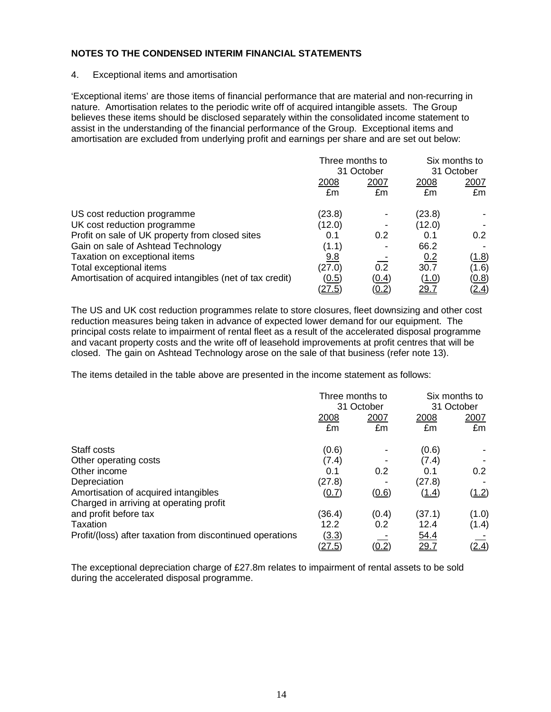#### 4. Exceptional items and amortisation

'Exceptional items' are those items of financial performance that are material and non-recurring in nature. Amortisation relates to the periodic write off of acquired intangible assets. The Group believes these items should be disclosed separately within the consolidated income statement to assist in the understanding of the financial performance of the Group. Exceptional items and amortisation are excluded from underlying profit and earnings per share and are set out below:

|                                                          | Three months to<br>31 October |              | Six months to<br>31 October |                  |
|----------------------------------------------------------|-------------------------------|--------------|-----------------------------|------------------|
|                                                          | <u>2008</u><br>£m             | 2007<br>£m   | 2008<br>£m                  | 2007<br>£m       |
| US cost reduction programme                              | (23.8)                        |              | (23.8)                      |                  |
| UK cost reduction programme                              | (12.0)                        |              | (12.0)                      |                  |
| Profit on sale of UK property from closed sites          | 0.1                           | 0.2          | 0.1                         | 0.2 <sub>0</sub> |
| Gain on sale of Ashtead Technology                       | (1.1)                         |              | 66.2                        |                  |
| Taxation on exceptional items                            | 9.8                           |              | 0.2                         | <u>(1.8)</u>     |
| Total exceptional items                                  | (27.0)                        | 0.2          | 30.7                        | (1.6)            |
| Amortisation of acquired intangibles (net of tax credit) | (0.5)                         | (0.4)        | (1.0)                       | (0.8)            |
|                                                          | (27.5)                        | <u>(0.2)</u> | <u> 29.7</u>                | (2.4)            |

The US and UK cost reduction programmes relate to store closures, fleet downsizing and other cost reduction measures being taken in advance of expected lower demand for our equipment. The principal costs relate to impairment of rental fleet as a result of the accelerated disposal programme and vacant property costs and the write off of leasehold improvements at profit centres that will be closed. The gain on Ashtead Technology arose on the sale of that business (refer note 13).

The items detailed in the table above are presented in the income statement as follows:

|                                                           |               | Three months to<br>31 October |              | Six months to<br>31 October |  |
|-----------------------------------------------------------|---------------|-------------------------------|--------------|-----------------------------|--|
|                                                           | 2008          | 2007                          | 2008         | 2007                        |  |
|                                                           | £m            | £m                            | £m           | £m                          |  |
| Staff costs                                               | (0.6)         |                               | (0.6)        |                             |  |
| Other operating costs                                     | (7.4)         |                               | (7.4)        |                             |  |
| Other income                                              | 0.1           | 0.2                           | 0.1          | 0.2                         |  |
| Depreciation                                              | (27.8)        |                               | (27.8)       |                             |  |
| Amortisation of acquired intangibles                      | (0.7)         | (0.6)                         | <u>(1.4)</u> | (1.2)                       |  |
| Charged in arriving at operating profit                   |               |                               |              |                             |  |
| and profit before tax                                     | (36.4)        | (0.4)                         | (37.1)       | (1.0)                       |  |
| Taxation                                                  | 12.2          | 0.2                           | 12.4         | (1.4)                       |  |
| Profit/(loss) after taxation from discontinued operations | <u>(3.3)</u>  |                               | 54.4         |                             |  |
|                                                           | <u>(27.5)</u> | <u>(0.2 </u>                  | <u> 29.7</u> | (2.4)                       |  |

The exceptional depreciation charge of £27.8m relates to impairment of rental assets to be sold during the accelerated disposal programme.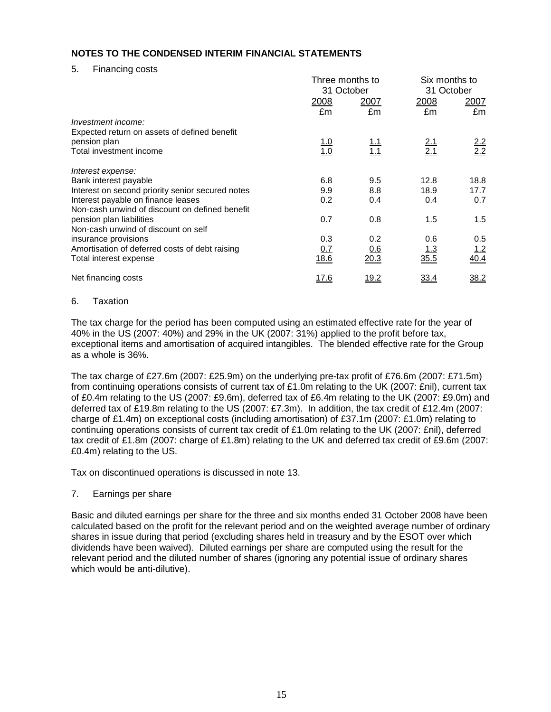5. Financing costs

|                                                  | Three months to<br>31 October |                          |                   | Six months to<br>31 October |  |  |
|--------------------------------------------------|-------------------------------|--------------------------|-------------------|-----------------------------|--|--|
|                                                  | 2008                          | 2007                     | 2008              | <u>2007</u>                 |  |  |
|                                                  | £m                            | £m                       | £m                | £m                          |  |  |
| Investment income:                               |                               |                          |                   |                             |  |  |
| Expected return on assets of defined benefit     |                               |                          |                   |                             |  |  |
| pension plan                                     |                               |                          |                   |                             |  |  |
| Total investment income                          | $\frac{1.0}{1.0}$             | <u>1.1</u><br><u>1.1</u> | $\frac{2.1}{2.1}$ | $\frac{2.2}{2.2}$           |  |  |
| Interest expense:                                |                               |                          |                   |                             |  |  |
| Bank interest payable                            | 6.8                           | 9.5                      | 12.8              | 18.8                        |  |  |
| Interest on second priority senior secured notes | 9.9                           | 8.8                      | 18.9              | 17.7                        |  |  |
| Interest payable on finance leases               | 0.2                           | 0.4                      | 0.4               | 0.7                         |  |  |
| Non-cash unwind of discount on defined benefit   |                               |                          |                   |                             |  |  |
| pension plan liabilities                         | 0.7                           | 0.8                      | 1.5               | 1.5                         |  |  |
| Non-cash unwind of discount on self              |                               |                          |                   |                             |  |  |
| insurance provisions                             | 0.3                           | 0.2                      | 0.6               | 0.5                         |  |  |
| Amortisation of deferred costs of debt raising   | <u>0.7</u>                    | 0.6                      | <u> 1.3</u>       | <u>1.2</u>                  |  |  |
| Total interest expense                           | 18.6                          | 20.3                     | 35.5              | 40.4                        |  |  |
| Net financing costs                              | <u> 17.6</u>                  | <u> 19.2</u>             | <u>33.4</u>       | 38.2                        |  |  |

#### 6. Taxation

The tax charge for the period has been computed using an estimated effective rate for the year of 40% in the US (2007: 40%) and 29% in the UK (2007: 31%) applied to the profit before tax, exceptional items and amortisation of acquired intangibles. The blended effective rate for the Group as a whole is 36%.

The tax charge of £27.6m (2007: £25.9m) on the underlying pre-tax profit of £76.6m (2007: £71.5m) from continuing operations consists of current tax of £1.0m relating to the UK (2007: £nil), current tax of £0.4m relating to the US (2007: £9.6m), deferred tax of £6.4m relating to the UK (2007: £9.0m) and deferred tax of £19.8m relating to the US (2007: £7.3m). In addition, the tax credit of £12.4m (2007: charge of £1.4m) on exceptional costs (including amortisation) of £37.1m (2007: £1.0m) relating to continuing operations consists of current tax credit of £1.0m relating to the UK (2007: £nil), deferred tax credit of £1.8m (2007: charge of £1.8m) relating to the UK and deferred tax credit of £9.6m (2007: £0.4m) relating to the US.

Tax on discontinued operations is discussed in note 13.

## 7. Earnings per share

Basic and diluted earnings per share for the three and six months ended 31 October 2008 have been calculated based on the profit for the relevant period and on the weighted average number of ordinary shares in issue during that period (excluding shares held in treasury and by the ESOT over which dividends have been waived). Diluted earnings per share are computed using the result for the relevant period and the diluted number of shares (ignoring any potential issue of ordinary shares which would be anti-dilutive).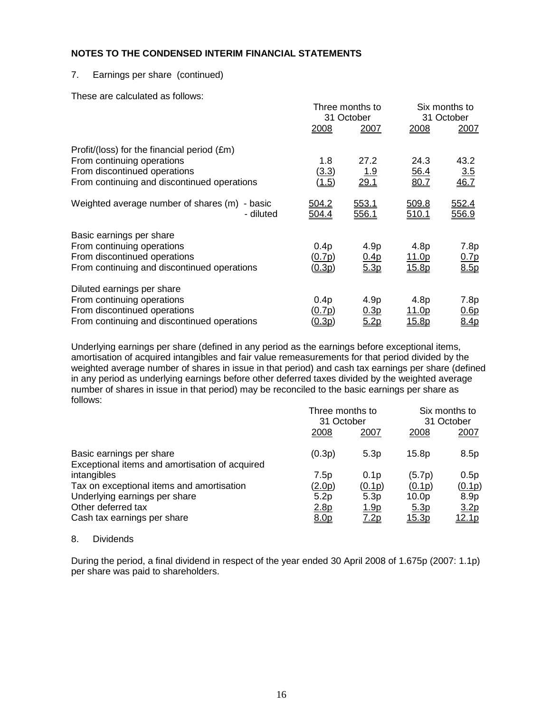#### 7. Earnings per share (continued)

These are calculated as follows:

|                                                                                                                                                          |                                             | Three months to<br>31 October |                                | Six months to<br>31 October      |  |
|----------------------------------------------------------------------------------------------------------------------------------------------------------|---------------------------------------------|-------------------------------|--------------------------------|----------------------------------|--|
|                                                                                                                                                          | 2008                                        | 2007                          | 2008                           | 2007                             |  |
| Profit/(loss) for the financial period (£m)<br>From continuing operations<br>From discontinued operations<br>From continuing and discontinued operations | 1.8<br>(3.3)<br>(1.5)                       | 27.2<br><u> 1.9</u><br>29.1   | 24.3<br>56.4<br>80.7           | 43.2<br>$\frac{3.5}{46.7}$       |  |
| Weighted average number of shares (m)<br>- basic<br>- diluted                                                                                            | <u>504.2</u><br>504.4                       | 553.1<br>556.1                | 509.8<br><u>510.1</u>          | 552.4<br>556.9                   |  |
| Basic earnings per share<br>From continuing operations<br>From discontinued operations<br>From continuing and discontinued operations                    | 0.4 <sub>p</sub><br><u>(0.7p)</u><br>(0.3p) | 4.9p<br>0.4p<br>5.3p          | 4.8p<br><u> 11.0p</u><br>15.8p | 7.8p<br>0.7 <sub>p</sub><br>8.5p |  |
| Diluted earnings per share<br>From continuing operations<br>From discontinued operations<br>From continuing and discontinued operations                  | 0.4 <sub>p</sub><br><u>(0.7p)</u><br>(0.3p) | 4.9p<br>0.3p<br>5.2p          | 4.8p<br><u> 11.0p</u><br>15.8p | 7.8p<br>0.6p<br>8.4p             |  |

Underlying earnings per share (defined in any period as the earnings before exceptional items, amortisation of acquired intangibles and fair value remeasurements for that period divided by the weighted average number of shares in issue in that period) and cash tax earnings per share (defined in any period as underlying earnings before other deferred taxes divided by the weighted average number of shares in issue in that period) may be reconciled to the basic earnings per share as follows:

|                                                                            | Three months to<br>31 October |                  | Six months to<br>31 October |                  |  |
|----------------------------------------------------------------------------|-------------------------------|------------------|-----------------------------|------------------|--|
|                                                                            | 2008                          | 2007             | 2008                        | 2007             |  |
| Basic earnings per share<br>Exceptional items and amortisation of acquired | (0.3p)                        | 5.3p             | 15.8p                       | 8.5p             |  |
| intangibles                                                                | 7.5p                          | 0.1 <sub>p</sub> | (5.7p)                      | 0.5p             |  |
| Tax on exceptional items and amortisation                                  | (2.0p)                        | (0.1p)           | (0.1p)                      | (0.1p)           |  |
| Underlying earnings per share                                              | 5.2p                          | 5.3p             | 10.0 <sub>p</sub>           | 8.9p             |  |
| Other deferred tax                                                         | 2.8p                          | <u>1.9p</u>      | 5.3 <sub>p</sub>            | 3.2 <sub>p</sub> |  |
| Cash tax earnings per share                                                | 8.0p                          | 7.2p             | 15.3p                       | <u>12.1p</u>     |  |

#### 8. Dividends

During the period, a final dividend in respect of the year ended 30 April 2008 of 1.675p (2007: 1.1p) per share was paid to shareholders.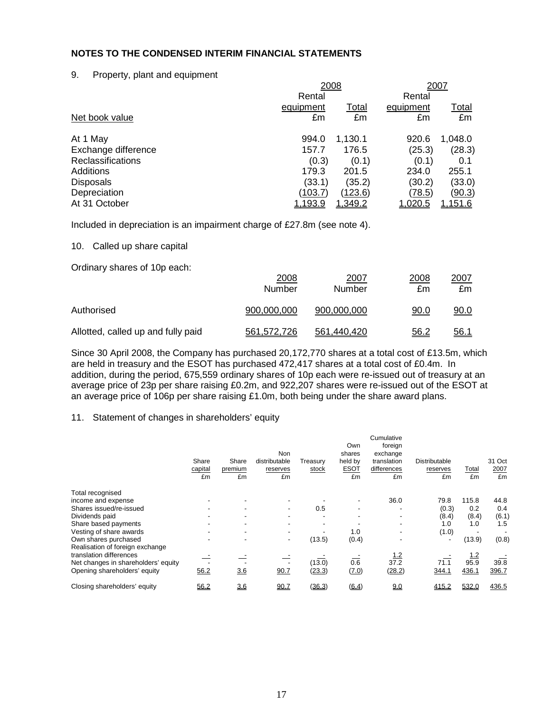#### 9. Property, plant and equipment

|                | 2007    |           |               |
|----------------|---------|-----------|---------------|
| Rental         |         | Rental    |               |
| equipment      | Total   | equipment | <u>Total</u>  |
| £m             | £m      | £m        | £m            |
| 994.0          | 1,130.1 | 920.6     | 1,048.0       |
| 157.7          | 176.5   | (25.3)    | (28.3)        |
| (0.3)          | (0.1)   | (0.1)     | 0.1           |
| 179.3          | 201.5   | 234.0     | 255.1         |
| (33.1)         | (35.2)  | (30.2)    | (33.0)        |
| (103.7)        | (123.6) | (78.5)    | <u>(90.3)</u> |
| <u>1,193.9</u> | 1,349.2 | 1,020.5   | 1,151.6       |
|                |         | 2008      |               |

Included in depreciation is an impairment charge of £27.8m (see note 4).

#### 10. Called up share capital

Ordinary shares of 10p each:

|                                    | 2008<br>Number | 2007<br>Number | 2008<br>£m  | 2007<br>£m  |
|------------------------------------|----------------|----------------|-------------|-------------|
| Authorised                         | 900.000.000    | 900.000.000    | <u>90.0</u> | 90.0        |
| Allotted, called up and fully paid | 561.572.726    | 561.440.420    | 56.2        | <u>56.1</u> |

Since 30 April 2008, the Company has purchased 20,172,770 shares at a total cost of £13.5m, which are held in treasury and the ESOT has purchased 472,417 shares at a total cost of £0.4m. In addition, during the period, 675,559 ordinary shares of 10p each were re-issued out of treasury at an average price of 23p per share raising £0.2m, and 922,207 shares were re-issued out of the ESOT at an average price of 106p per share raising £1.0m, both being under the share award plans.

## 11. Statement of changes in shareholders' equity

|                                                                | Share<br>capital<br>£m | Share<br>premium<br>£m | Non<br>distributable<br>reserves<br>£m | Treasury<br>stock | Own<br>shares<br>held by<br><b>ESOT</b><br>£m | Cumulative<br>foreign<br>exchange<br>translation<br>differences<br>£m | <b>Distributable</b><br>reserves<br>£m | Total<br>£m         | 31 Oct<br>2007<br>£m |
|----------------------------------------------------------------|------------------------|------------------------|----------------------------------------|-------------------|-----------------------------------------------|-----------------------------------------------------------------------|----------------------------------------|---------------------|----------------------|
| Total recognised                                               |                        |                        |                                        |                   |                                               |                                                                       |                                        |                     |                      |
| income and expense                                             |                        |                        |                                        |                   |                                               | 36.0                                                                  | 79.8                                   | 115.8               | 44.8                 |
| Shares issued/re-issued                                        |                        |                        |                                        | 0.5               |                                               | $\overline{\phantom{a}}$                                              | (0.3)                                  | 0.2                 | 0.4                  |
| Dividends paid                                                 |                        |                        |                                        |                   |                                               | $\blacksquare$                                                        | (8.4)                                  | (8.4)               | (6.1)                |
| Share based payments                                           |                        |                        |                                        | ٠                 |                                               | $\overline{\phantom{a}}$                                              | 1.0                                    | 1.0                 | 1.5                  |
| Vesting of share awards                                        |                        |                        |                                        |                   | 1.0                                           |                                                                       | (1.0)                                  |                     |                      |
| Own shares purchased<br>Realisation of foreign exchange        |                        |                        |                                        | (13.5)            | (0.4)                                         |                                                                       | $\overline{\phantom{a}}$               | (13.9)              | (0.8)                |
| translation differences<br>Net changes in shareholders' equity |                        |                        |                                        | (13.0)            | 0.6                                           | <u>1.2</u><br>37.2                                                    | 71.1                                   | <u> 1.2</u><br>95.9 | 39.8                 |
| Opening shareholders' equity                                   | 56.2                   | 3.6                    | 90.7                                   | (23.3)            | (7.0)                                         | (28.2)                                                                | 344.1                                  | 436.1               | 396.7                |
| Closing shareholders' equity                                   | 56.2                   | 36                     | 90.7                                   | (36.3)            | (6.4)                                         | <u>9.0</u>                                                            | 415.2                                  | 532.0               | 436.5                |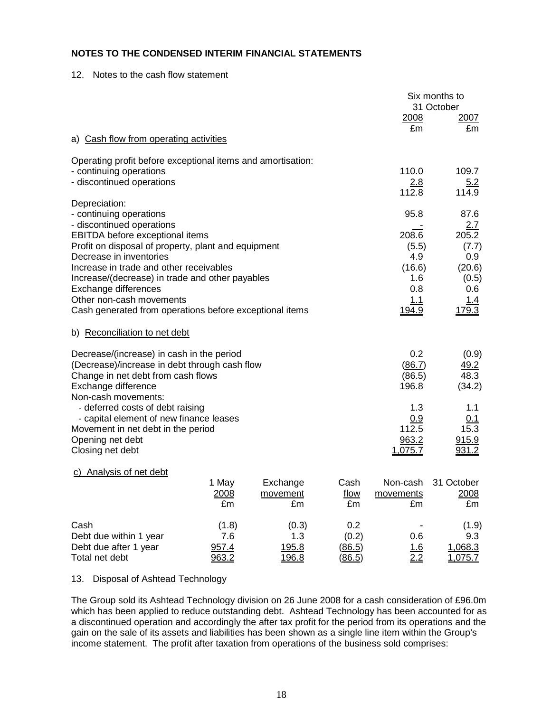12. Notes to the cash flow statement

|                                                                                                                                                                                |                                |                                |                                         |                                         | Six months to<br>31 October                 |
|--------------------------------------------------------------------------------------------------------------------------------------------------------------------------------|--------------------------------|--------------------------------|-----------------------------------------|-----------------------------------------|---------------------------------------------|
|                                                                                                                                                                                |                                |                                |                                         | 2008<br>£m                              | 2007<br>£m                                  |
| a) Cash flow from operating activities                                                                                                                                         |                                |                                |                                         |                                         |                                             |
| Operating profit before exceptional items and amortisation:                                                                                                                    |                                |                                |                                         |                                         |                                             |
| - continuing operations<br>- discontinued operations                                                                                                                           |                                |                                |                                         | 110.0<br>2.8<br>112.8                   | 109.7<br>5.2<br>114.9                       |
| Depreciation:<br>- continuing operations                                                                                                                                       |                                |                                |                                         | 95.8                                    | 87.6                                        |
| - discontinued operations<br><b>EBITDA</b> before exceptional items<br>Profit on disposal of property, plant and equipment                                                     |                                |                                |                                         | 208.6<br>(5.5)                          | 2.7<br>205.2<br>(7.7)                       |
| Decrease in inventories<br>Increase in trade and other receivables<br>Increase/(decrease) in trade and other payables                                                          |                                |                                |                                         | 4.9<br>(16.6)<br>1.6                    | 0.9<br>(20.6)<br>(0.5)                      |
| Exchange differences<br>Other non-cash movements<br>Cash generated from operations before exceptional items                                                                    | 0.8<br><u>1.1</u><br>194.9     | 0.6<br>1.4<br>179.3            |                                         |                                         |                                             |
| b) Reconciliation to net debt                                                                                                                                                  |                                |                                |                                         |                                         |                                             |
| Decrease/(increase) in cash in the period<br>(Decrease)/increase in debt through cash flow<br>Change in net debt from cash flows<br>Exchange difference<br>Non-cash movements: |                                |                                |                                         | 0.2<br>(86.7)<br>(86.5)<br>196.8        | (0.9)<br>49.2<br>48.3<br>(34.2)             |
| - deferred costs of debt raising<br>- capital element of new finance leases<br>Movement in net debt in the period<br>Opening net debt<br>Closing net debt                      |                                |                                |                                         | 1.3<br>0.9<br>112.5<br>963.2<br>1,075.7 | 1.1<br>0.1<br>15.3<br>915.9<br><u>931.2</u> |
| <b>Analysis of net debt</b><br>C)                                                                                                                                              | 1 May<br>2008<br>£m            | Exchange<br>movement<br>£m     | Cash<br>flow<br>£m                      | Non-cash<br>movements<br>£m             | 31 October<br>2008<br>£m                    |
| Cash<br>Debt due within 1 year<br>Debt due after 1 year<br>Total net debt                                                                                                      | (1.8)<br>7.6<br>957.4<br>963.2 | (0.3)<br>1.3<br>195.8<br>196.8 | 0.2<br>(0.2)<br>(86.5)<br><u>(86.5)</u> | 0.6<br>1.6<br>2.2                       | (1.9)<br>9.3<br>1,068.3<br>1,075.7          |

#### 13. Disposal of Ashtead Technology

The Group sold its Ashtead Technology division on 26 June 2008 for a cash consideration of £96.0m which has been applied to reduce outstanding debt. Ashtead Technology has been accounted for as a discontinued operation and accordingly the after tax profit for the period from its operations and the gain on the sale of its assets and liabilities has been shown as a single line item within the Group's income statement. The profit after taxation from operations of the business sold comprises: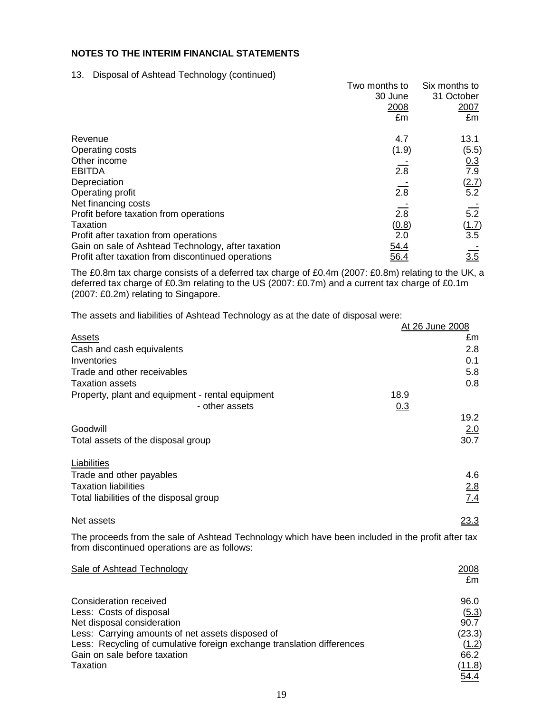## **NOTES TO THE INTERIM FINANCIAL STATEMENTS**

#### 13. Disposal of Ashtead Technology (continued)

|                                                    | Two months to    | Six months to       |
|----------------------------------------------------|------------------|---------------------|
|                                                    | 30 June          | 31 October          |
|                                                    | 2008             | 2007                |
|                                                    | £m               | £m                  |
| Revenue                                            | 4.7              | 13.1                |
| Operating costs                                    | (1.9)            | (5.5)               |
| Other income                                       |                  |                     |
| <b>EBITDA</b>                                      | $\overline{2.8}$ | $\frac{0.3}{7.9}$   |
| Depreciation                                       |                  |                     |
| Operating profit                                   | $\overline{2.8}$ | $\frac{(2.7)}{5.2}$ |
| Net financing costs                                |                  |                     |
| Profit before taxation from operations             | $\overline{2.8}$ | $\overline{5.2}$    |
| Taxation                                           | <u>(0.8)</u>     |                     |
| Profit after taxation from operations              | 2.0              | $\frac{(1.7)}{3.5}$ |
| Gain on sale of Ashtead Technology, after taxation | 54.4             |                     |
| Profit after taxation from discontinued operations | 56.4             | $\overline{3.5}$    |

The £0.8m tax charge consists of a deferred tax charge of £0.4m (2007: £0.8m) relating to the UK, a deferred tax charge of £0.3m relating to the US (2007: £0.7m) and a current tax charge of £0.1m (2007: £0.2m) relating to Singapore.

The assets and liabilities of Ashtead Technology as at the date of disposal were:

|                                                                                                                                                   | At 26 June 2008 |            |
|---------------------------------------------------------------------------------------------------------------------------------------------------|-----------------|------------|
| Assets                                                                                                                                            |                 | £m         |
| Cash and cash equivalents                                                                                                                         |                 | 2.8        |
| Inventories                                                                                                                                       |                 | 0.1        |
| Trade and other receivables                                                                                                                       |                 | 5.8        |
| <b>Taxation assets</b>                                                                                                                            |                 | 0.8        |
| Property, plant and equipment - rental equipment                                                                                                  | 18.9            |            |
| - other assets                                                                                                                                    | 0.3             |            |
|                                                                                                                                                   |                 | 19.2       |
| Goodwill                                                                                                                                          |                 | 2.0        |
| Total assets of the disposal group                                                                                                                |                 | 30.7       |
| Liabilities                                                                                                                                       |                 |            |
| Trade and other payables                                                                                                                          |                 | 4.6        |
| <b>Taxation liabilities</b>                                                                                                                       |                 | <u>2.8</u> |
| Total liabilities of the disposal group                                                                                                           |                 | 7.4        |
|                                                                                                                                                   |                 |            |
| Net assets                                                                                                                                        |                 | 23.3       |
| The proceeds from the sale of Ashtead Technology which have been included in the profit after tax<br>from discontinued operations are as follows: |                 |            |
| <b>Sale of Ashtead Technology</b>                                                                                                                 |                 | 2008       |
|                                                                                                                                                   |                 | £m         |
| <b>Consideration received</b>                                                                                                                     |                 | 96.0       |
| Less: Costs of disposal                                                                                                                           |                 | (5.3)      |
| Net disposal consideration                                                                                                                        |                 | 90.7       |
| Less: Carrying amounts of net assets disposed of                                                                                                  |                 | (23.3)     |

54.4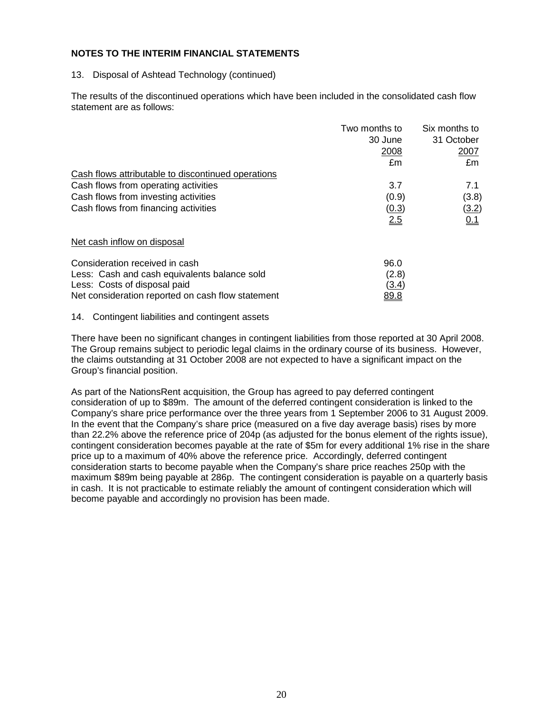#### **NOTES TO THE INTERIM FINANCIAL STATEMENTS**

#### 13. Disposal of Ashtead Technology (continued)

The results of the discontinued operations which have been included in the consolidated cash flow statement are as follows:

|                                                    | Two months to | Six months to |
|----------------------------------------------------|---------------|---------------|
|                                                    | 30 June       | 31 October    |
|                                                    | 2008          | 2007          |
|                                                    | £m            | £m            |
| Cash flows attributable to discontinued operations |               |               |
| Cash flows from operating activities               | 3.7           | 7.1           |
| Cash flows from investing activities               | (0.9)         | (3.8)         |
| Cash flows from financing activities               | (0.3)         | <u>(3.2)</u>  |
|                                                    | 2.5           | 0.1           |
| Net cash inflow on disposal                        |               |               |
| Consideration received in cash                     | 96.0          |               |
| Less: Cash and cash equivalents balance sold       | (2.8)         |               |
| Less: Costs of disposal paid                       | <u>(3.4)</u>  |               |
| Net consideration reported on cash flow statement  | <u>89.8</u>   |               |

#### 14. Contingent liabilities and contingent assets

There have been no significant changes in contingent liabilities from those reported at 30 April 2008. The Group remains subject to periodic legal claims in the ordinary course of its business. However, the claims outstanding at 31 October 2008 are not expected to have a significant impact on the Group's financial position.

As part of the NationsRent acquisition, the Group has agreed to pay deferred contingent consideration of up to \$89m. The amount of the deferred contingent consideration is linked to the Company's share price performance over the three years from 1 September 2006 to 31 August 2009. In the event that the Company's share price (measured on a five day average basis) rises by more than 22.2% above the reference price of 204p (as adjusted for the bonus element of the rights issue), contingent consideration becomes payable at the rate of \$5m for every additional 1% rise in the share price up to a maximum of 40% above the reference price. Accordingly, deferred contingent consideration starts to become payable when the Company's share price reaches 250p with the maximum \$89m being payable at 286p. The contingent consideration is payable on a quarterly basis in cash. It is not practicable to estimate reliably the amount of contingent consideration which will become payable and accordingly no provision has been made.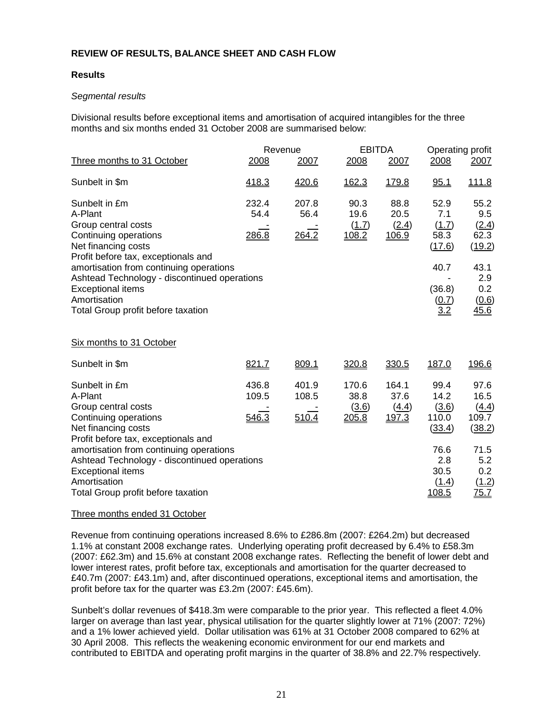### **REVIEW OF RESULTS, BALANCE SHEET AND CASH FLOW**

#### **Results**

#### Segmental results

Divisional results before exceptional items and amortisation of acquired intangibles for the three months and six months ended 31 October 2008 are summarised below:

| Three months to 31 October                                                                                                                                                                                                                                                                                          | 2008                    | Revenue<br>2007         | <b>EBITDA</b><br>2008           | 2007                            | Operating profit<br>2008                                                        | 2007                                                                          |
|---------------------------------------------------------------------------------------------------------------------------------------------------------------------------------------------------------------------------------------------------------------------------------------------------------------------|-------------------------|-------------------------|---------------------------------|---------------------------------|---------------------------------------------------------------------------------|-------------------------------------------------------------------------------|
|                                                                                                                                                                                                                                                                                                                     |                         |                         |                                 |                                 |                                                                                 |                                                                               |
| Sunbelt in \$m                                                                                                                                                                                                                                                                                                      | 418.3                   | 420.6                   | 162.3                           | 179.8                           | 95.1                                                                            | <u>111.8</u>                                                                  |
| Sunbelt in £m<br>A-Plant<br>Group central costs<br>Continuing operations<br>Net financing costs<br>Profit before tax, exceptionals and<br>amortisation from continuing operations<br>Ashtead Technology - discontinued operations<br><b>Exceptional items</b><br>Amortisation<br>Total Group profit before taxation | 232.4<br>54.4<br>286.8  | 207.8<br>56.4<br>264.2  | 90.3<br>19.6<br>(1.7)<br>108.2  | 88.8<br>20.5<br>(2.4)<br>106.9  | 52.9<br>7.1<br>(1.7)<br>58.3<br>(17.6)<br>40.7<br>(36.8)<br>$\frac{(0.7)}{3.2}$ | 55.2<br>9.5<br>(2.4)<br>62.3<br>(19.2)<br>43.1<br>2.9<br>0.2<br>(0.6)<br>45.6 |
| Six months to 31 October                                                                                                                                                                                                                                                                                            |                         |                         |                                 |                                 |                                                                                 |                                                                               |
| Sunbelt in \$m                                                                                                                                                                                                                                                                                                      | 821.7                   | 809.1                   | 320.8                           | 330.5                           | 187.0                                                                           | 196.6                                                                         |
| Sunbelt in £m<br>A-Plant<br>Group central costs<br>Continuing operations<br>Net financing costs<br>Profit before tax, exceptionals and                                                                                                                                                                              | 436.8<br>109.5<br>546.3 | 401.9<br>108.5<br>510.4 | 170.6<br>38.8<br>(3.6)<br>205.8 | 164.1<br>37.6<br>(4.4)<br>197.3 | 99.4<br>14.2<br>(3.6)<br>110.0<br>(33.4)                                        | 97.6<br>16.5<br>(4.4)<br>109.7<br>(38.2)                                      |
| amortisation from continuing operations<br>Ashtead Technology - discontinued operations<br><b>Exceptional items</b><br>Amortisation<br>Total Group profit before taxation                                                                                                                                           |                         |                         |                                 |                                 | 76.6<br>2.8<br>30.5<br>(1.4)<br>108.5                                           | 71.5<br>5.2<br>0.2<br>(1.2)<br><u>75.7</u>                                    |

#### Three months ended 31 October

Revenue from continuing operations increased 8.6% to £286.8m (2007: £264.2m) but decreased 1.1% at constant 2008 exchange rates. Underlying operating profit decreased by 6.4% to £58.3m (2007: £62.3m) and 15.6% at constant 2008 exchange rates. Reflecting the benefit of lower debt and lower interest rates, profit before tax, exceptionals and amortisation for the quarter decreased to £40.7m (2007: £43.1m) and, after discontinued operations, exceptional items and amortisation, the profit before tax for the quarter was £3.2m (2007: £45.6m).

Sunbelt's dollar revenues of \$418.3m were comparable to the prior year. This reflected a fleet 4.0% larger on average than last year, physical utilisation for the quarter slightly lower at 71% (2007: 72%) and a 1% lower achieved yield. Dollar utilisation was 61% at 31 October 2008 compared to 62% at 30 April 2008. This reflects the weakening economic environment for our end markets and contributed to EBITDA and operating profit margins in the quarter of 38.8% and 22.7% respectively.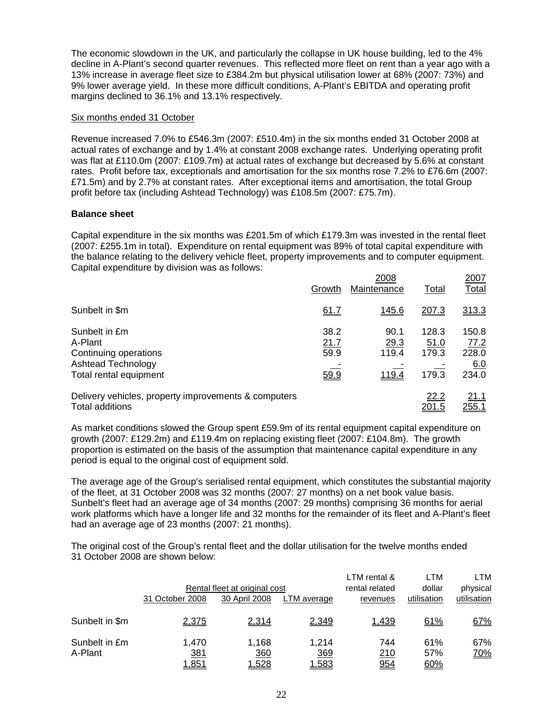The economic slowdown in the UK, and particularly the collapse in UK house building, led to the 4% decline in A-Plant's second quarter revenues. This reflected more fleet on rent than a year ago with a 13% increase in average fleet size to £384.2m but physical utilisation lower at 68% (2007: 73%) and 9% lower average yield. In these more difficult conditions, A-Plant's EBITDA and operating profit margins declined to 36.1% and 13.1% respectively.

#### Six months ended 31 October

Revenue increased 7.0% to £546.3m (2007: £510.4m) in the six months ended 31 October 2008 at actual rates of exchange and by 1.4% at constant 2008 exchange rates. Underlying operating profit was flat at £110.0m (2007: £109.7m) at actual rates of exchange but decreased by 5.6% at constant rates. Profit before tax, exceptionals and amortisation for the six months rose 7.2% to £76.6m (2007: £71.5m) and by 2.7% at constant rates. After exceptional items and amortisation, the total Group profit before tax (including Ashtead Technology) was £108.5m (2007: £75.7m).

#### **Balance sheet**

Capital expenditure in the six months was £201.5m of which £179.3m was invested in the rental fleet (2007: £255.1m in total). Expenditure on rental equipment was 89% of total capital expenditure with the balance relating to the delivery vehicle fleet, property improvements and to computer equipment. Capital expenditure by division was as follows:

|                                                                                                   | Growth                       | 2008<br>Maintenance            | Total                           | 2007<br>Total                          |
|---------------------------------------------------------------------------------------------------|------------------------------|--------------------------------|---------------------------------|----------------------------------------|
| Sunbelt in \$m                                                                                    | 61.7                         | 145.6                          | 207.3                           | 313.3                                  |
| Sunbelt in £m<br>A-Plant<br>Continuing operations<br>Ashtead Technology<br>Total rental equipment | 38.2<br>21.7<br>59.9<br>59.9 | 90.1<br>29.3<br>119.4<br>119.4 | 128.3<br>51.0<br>179.3<br>179.3 | 150.8<br>77.2<br>228.0<br>6.0<br>234.0 |
| Delivery vehicles, property improvements & computers<br>Total additions                           |                              |                                | 22.2<br>201.5                   | 21.1<br><u>255.1</u>                   |

As market conditions slowed the Group spent £59.9m of its rental equipment capital expenditure on growth (2007: £129.2m) and £119.4m on replacing existing fleet (2007: £104.8m). The growth proportion is estimated on the basis of the assumption that maintenance capital expenditure in any period is equal to the original cost of equipment sold.

The average age of the Group's serialised rental equipment, which constitutes the substantial majority of the fleet, at 31 October 2008 was 32 months (2007: 27 months) on a net book value basis. Sunbelt's fleet had an average age of 34 months (2007: 29 months) comprising 36 months for aerial work platforms which have a longer life and 32 months for the remainder of its fleet and A-Plant's fleet had an average age of 23 months (2007: 21 months).

The original cost of the Group's rental fleet and the dollar utilisation for the twelve months ended 31 October 2008 are shown below:

|                |                               |               |             | LTM rental &   | LTM         | LTM         |
|----------------|-------------------------------|---------------|-------------|----------------|-------------|-------------|
|                | Rental fleet at original cost |               |             | rental related | dollar      | physical    |
|                | 31 October 2008               | 30 April 2008 | LTM average | revenues       | utilisation | utilisation |
|                |                               |               |             |                |             |             |
| Sunbelt in \$m | 2,375                         | 2,314         | 2,349       | 1,439          | 61%         | 67%         |
|                |                               |               |             |                |             |             |
| Sunbelt in £m  | 1,470                         | 1,168         | 1,214       | 744            | 61%         | 67%         |
| A-Plant        | <u>381</u>                    | 360           | 369         | 210            | 57%         | <u>70%</u>  |
|                | 1,851                         | 1,528         | 1,583       | 954            | <u>60%</u>  |             |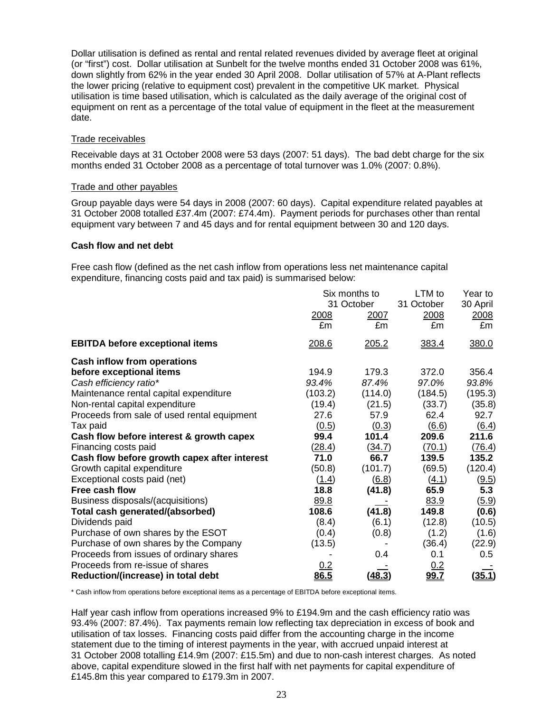Dollar utilisation is defined as rental and rental related revenues divided by average fleet at original (or "first") cost. Dollar utilisation at Sunbelt for the twelve months ended 31 October 2008 was 61%, down slightly from 62% in the year ended 30 April 2008. Dollar utilisation of 57% at A-Plant reflects the lower pricing (relative to equipment cost) prevalent in the competitive UK market. Physical utilisation is time based utilisation, which is calculated as the daily average of the original cost of equipment on rent as a percentage of the total value of equipment in the fleet at the measurement date.

## Trade receivables

Receivable days at 31 October 2008 were 53 days (2007: 51 days). The bad debt charge for the six months ended 31 October 2008 as a percentage of total turnover was 1.0% (2007: 0.8%).

#### Trade and other payables

Group payable days were 54 days in 2008 (2007: 60 days). Capital expenditure related payables at 31 October 2008 totalled £37.4m (2007: £74.4m). Payment periods for purchases other than rental equipment vary between 7 and 45 days and for rental equipment between 30 and 120 days.

#### **Cash flow and net debt**

Free cash flow (defined as the net cash inflow from operations less net maintenance capital expenditure, financing costs paid and tax paid) is summarised below:

|                                              | Six months to<br>31 October |               | LTM to<br>31 October | Year to<br>30 April |
|----------------------------------------------|-----------------------------|---------------|----------------------|---------------------|
|                                              |                             |               |                      |                     |
|                                              | 2008                        | 2007          | 2008                 | 2008                |
|                                              | £m                          | £m            | £m                   | £m                  |
| <b>EBITDA before exceptional items</b>       | 208.6                       | 205.2         | 383.4                | 380.0               |
| <b>Cash inflow from operations</b>           |                             |               |                      |                     |
| before exceptional items                     | 194.9                       | 179.3         | 372.0                | 356.4               |
| Cash efficiency ratio*                       | 93.4%                       | 87.4%         | 97.0%                | 93.8%               |
| Maintenance rental capital expenditure       | (103.2)                     | (114.0)       | (184.5)              | (195.3)             |
| Non-rental capital expenditure               | (19.4)                      | (21.5)        | (33.7)               | (35.8)              |
| Proceeds from sale of used rental equipment  | 27.6                        | 57.9          | 62.4                 | 92.7                |
| Tax paid                                     | (0.5)                       | (0.3)         | (6.6)                | (6.4)               |
| Cash flow before interest & growth capex     | 99.4                        | 101.4         | 209.6                | 211.6               |
| Financing costs paid                         | (28.4)                      | (34.7)        | (70.1)               | (76.4)              |
| Cash flow before growth capex after interest | 71.0                        | 66.7          | 139.5                | 135.2               |
| Growth capital expenditure                   | (50.8)                      | (101.7)       | (69.5)               | (120.4)             |
| Exceptional costs paid (net)                 | (1.4)                       | (6.8)         | (4.1)                | (9.5)               |
| Free cash flow                               | 18.8                        | (41.8)        | 65.9                 | 5.3                 |
| Business disposals/(acquisitions)            | 89.8                        |               | 83.9                 | (5.9)               |
| Total cash generated/(absorbed)              | 108.6                       | (41.8)        | 149.8                | (0.6)               |
| Dividends paid                               | (8.4)                       | (6.1)         | (12.8)               | (10.5)              |
| Purchase of own shares by the ESOT           | (0.4)                       | (0.8)         | (1.2)                | (1.6)               |
| Purchase of own shares by the Company        | (13.5)                      |               | (36.4)               | (22.9)              |
| Proceeds from issues of ordinary shares      |                             | 0.4           | 0.1                  | 0.5                 |
| Proceeds from re-issue of shares             | <u>0.2</u>                  |               | 0.2                  |                     |
| Reduction/(increase) in total debt           | 86.5                        | <u>(48.3)</u> | <u>99.7</u>          | (35.1)              |

\* Cash inflow from operations before exceptional items as a percentage of EBITDA before exceptional items.

Half year cash inflow from operations increased 9% to £194.9m and the cash efficiency ratio was 93.4% (2007: 87.4%). Tax payments remain low reflecting tax depreciation in excess of book and utilisation of tax losses. Financing costs paid differ from the accounting charge in the income statement due to the timing of interest payments in the year, with accrued unpaid interest at 31 October 2008 totalling £14.9m (2007: £15.5m) and due to non-cash interest charges. As noted above, capital expenditure slowed in the first half with net payments for capital expenditure of £145.8m this year compared to £179.3m in 2007.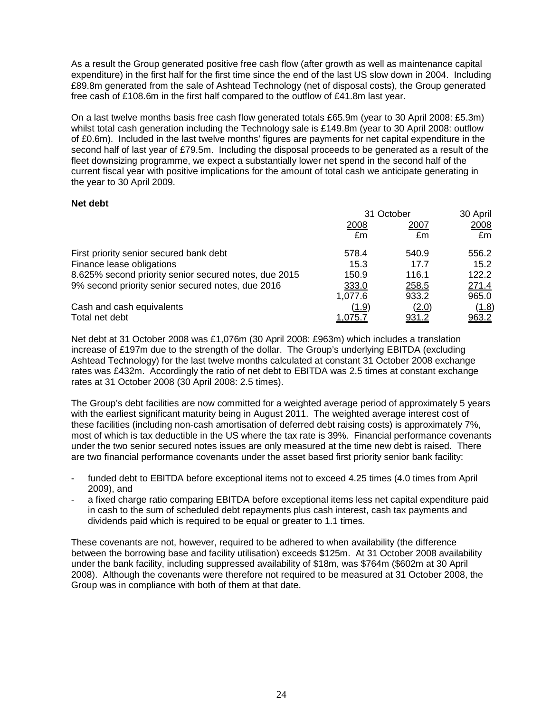As a result the Group generated positive free cash flow (after growth as well as maintenance capital expenditure) in the first half for the first time since the end of the last US slow down in 2004. Including £89.8m generated from the sale of Ashtead Technology (net of disposal costs), the Group generated free cash of £108.6m in the first half compared to the outflow of £41.8m last year.

On a last twelve months basis free cash flow generated totals £65.9m (year to 30 April 2008: £5.3m) whilst total cash generation including the Technology sale is £149.8m (year to 30 April 2008: outflow of £0.6m). Included in the last twelve months' figures are payments for net capital expenditure in the second half of last year of £79.5m. Including the disposal proceeds to be generated as a result of the fleet downsizing programme, we expect a substantially lower net spend in the second half of the current fiscal year with positive implications for the amount of total cash we anticipate generating in the year to 30 April 2009.

#### **Net debt**

|                                                       | 31 October     |                | 30 April |  |
|-------------------------------------------------------|----------------|----------------|----------|--|
|                                                       | 2008           | 2007           | 2008     |  |
|                                                       | £m             | £m             | £m       |  |
| First priority senior secured bank debt               | 578.4          | 540.9          | 556.2    |  |
| Finance lease obligations                             | 15.3           | 17.7           | 15.2     |  |
| 8.625% second priority senior secured notes, due 2015 | 150.9          | 116.1          | 122.2    |  |
| 9% second priority senior secured notes, due 2016     | 333.0          | 258.5          | 271.4    |  |
|                                                       | 1,077.6        | 933.2          | 965.0    |  |
| Cash and cash equivalents                             | <u>(1.9)</u>   | ( <u>2.0</u> ) | (1.8)    |  |
| Total net debt                                        | <u>1,075.7</u> | <u>931.2</u>   | 963.2    |  |

Net debt at 31 October 2008 was £1,076m (30 April 2008: £963m) which includes a translation increase of £197m due to the strength of the dollar. The Group's underlying EBITDA (excluding Ashtead Technology) for the last twelve months calculated at constant 31 October 2008 exchange rates was £432m. Accordingly the ratio of net debt to EBITDA was 2.5 times at constant exchange rates at 31 October 2008 (30 April 2008: 2.5 times).

The Group's debt facilities are now committed for a weighted average period of approximately 5 years with the earliest significant maturity being in August 2011. The weighted average interest cost of these facilities (including non-cash amortisation of deferred debt raising costs) is approximately 7%, most of which is tax deductible in the US where the tax rate is 39%. Financial performance covenants under the two senior secured notes issues are only measured at the time new debt is raised. There are two financial performance covenants under the asset based first priority senior bank facility:

- funded debt to EBITDA before exceptional items not to exceed 4.25 times (4.0 times from April 2009), and
- a fixed charge ratio comparing EBITDA before exceptional items less net capital expenditure paid in cash to the sum of scheduled debt repayments plus cash interest, cash tax payments and dividends paid which is required to be equal or greater to 1.1 times.

These covenants are not, however, required to be adhered to when availability (the difference between the borrowing base and facility utilisation) exceeds \$125m. At 31 October 2008 availability under the bank facility, including suppressed availability of \$18m, was \$764m (\$602m at 30 April 2008). Although the covenants were therefore not required to be measured at 31 October 2008, the Group was in compliance with both of them at that date.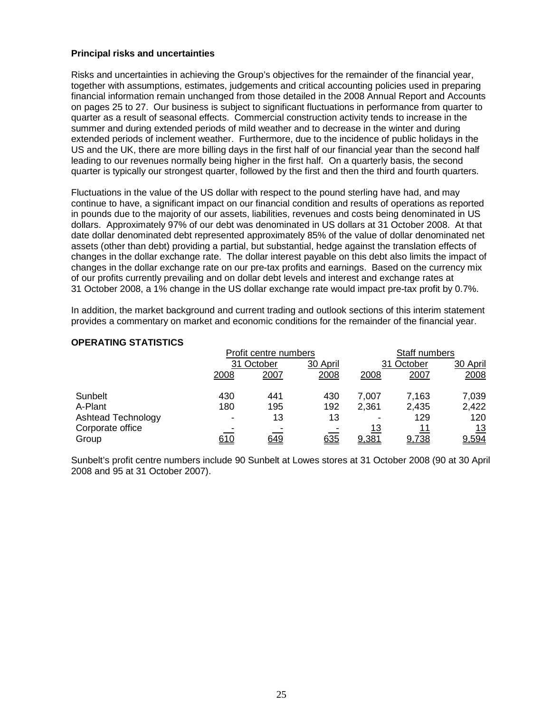#### **Principal risks and uncertainties**

Risks and uncertainties in achieving the Group's objectives for the remainder of the financial year, together with assumptions, estimates, judgements and critical accounting policies used in preparing financial information remain unchanged from those detailed in the 2008 Annual Report and Accounts on pages 25 to 27. Our business is subject to significant fluctuations in performance from quarter to quarter as a result of seasonal effects. Commercial construction activity tends to increase in the summer and during extended periods of mild weather and to decrease in the winter and during extended periods of inclement weather. Furthermore, due to the incidence of public holidays in the US and the UK, there are more billing days in the first half of our financial year than the second half leading to our revenues normally being higher in the first half. On a quarterly basis, the second quarter is typically our strongest quarter, followed by the first and then the third and fourth quarters.

Fluctuations in the value of the US dollar with respect to the pound sterling have had, and may continue to have, a significant impact on our financial condition and results of operations as reported in pounds due to the majority of our assets, liabilities, revenues and costs being denominated in US dollars. Approximately 97% of our debt was denominated in US dollars at 31 October 2008. At that date dollar denominated debt represented approximately 85% of the value of dollar denominated net assets (other than debt) providing a partial, but substantial, hedge against the translation effects of changes in the dollar exchange rate. The dollar interest payable on this debt also limits the impact of changes in the dollar exchange rate on our pre-tax profits and earnings. Based on the currency mix of our profits currently prevailing and on dollar debt levels and interest and exchange rates at 31 October 2008, a 1% change in the US dollar exchange rate would impact pre-tax profit by 0.7%.

In addition, the market background and current trading and outlook sections of this interim statement provides a commentary on market and economic conditions for the remainder of the financial year.

#### **OPERATING STATISTICS**

|                    | Profit centre numbers |            |            |                | Staff numbers |            |  |
|--------------------|-----------------------|------------|------------|----------------|---------------|------------|--|
|                    | 31 October            |            | 30 April   |                | 31 October    | 30 April   |  |
|                    | 2008                  | 2007       | 2008       | 2008           | 2007          | 2008       |  |
| Sunbelt            | 430                   | 441        | 430        | 7,007          | 7,163         | 7,039      |  |
| A-Plant            | 180                   | 195        | 192        | 2,361          | 2,435         | 2,422      |  |
| Ashtead Technology | $\blacksquare$        | 13         | 13         | $\blacksquare$ | 129           | 120        |  |
| Corporate office   |                       |            |            | 13             | 11            | <u> 13</u> |  |
| Group              | <u>610</u>            | <u>649</u> | <u>635</u> | <u>9,381</u>   | 9,738         | 9,594      |  |

Sunbelt's profit centre numbers include 90 Sunbelt at Lowes stores at 31 October 2008 (90 at 30 April 2008 and 95 at 31 October 2007).